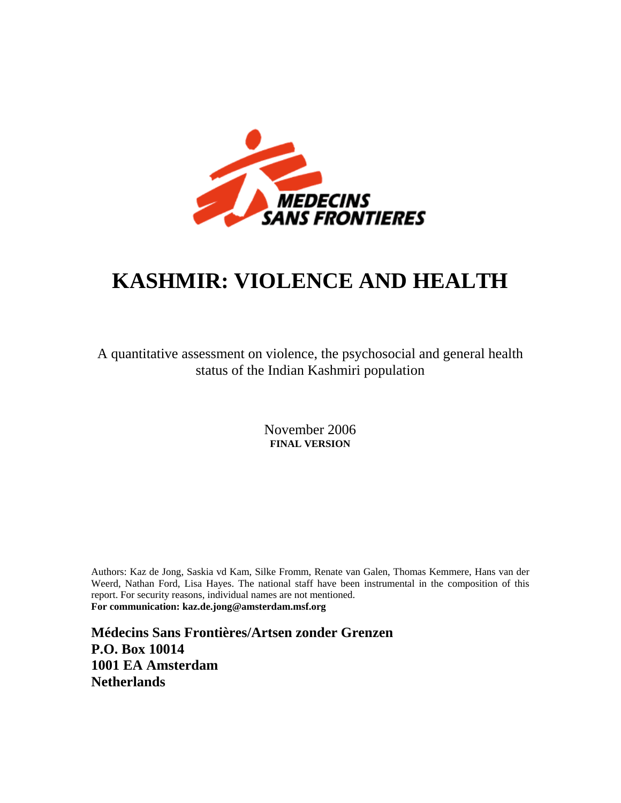

# **KASHMIR: VIOLENCE AND HEALTH**

A quantitative assessment on violence, the psychosocial and general health status of the Indian Kashmiri population

> November 2006 **FINAL VERSION**

Authors: Kaz de Jong, Saskia vd Kam, Silke Fromm, Renate van Galen, Thomas Kemmere, Hans van der Weerd, Nathan Ford, Lisa Hayes. The national staff have been instrumental in the composition of this report. For security reasons, individual names are not mentioned. **For communication: kaz.de.jong@amsterdam.msf.org**

**Médecins Sans Frontières/Artsen zonder Grenzen P.O. Box 10014 1001 EA Amsterdam Netherlands**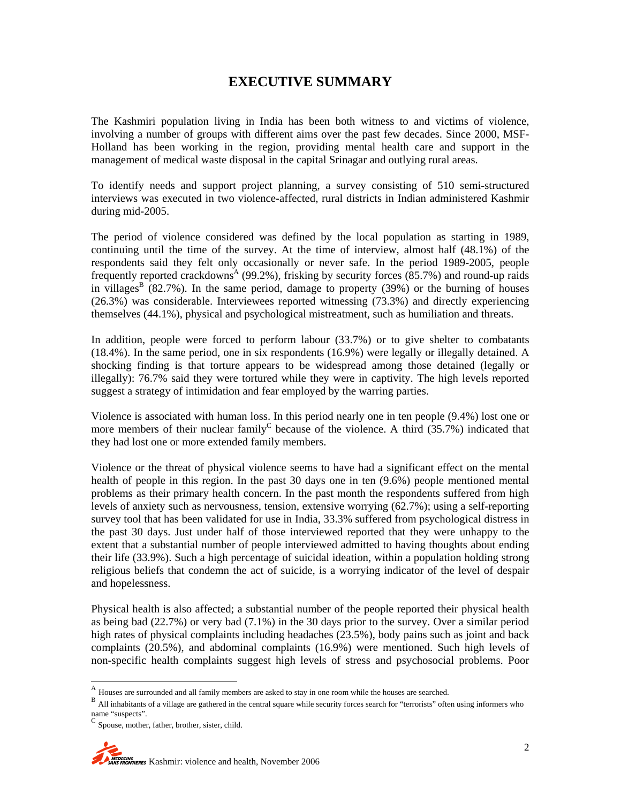### **EXECUTIVE SUMMARY**

The Kashmiri population living in India has been both witness to and victims of violence, involving a number of groups with different aims over the past few decades. Since 2000, MSF-Holland has been working in the region, providing mental health care and support in the management of medical waste disposal in the capital Srinagar and outlying rural areas.

To identify needs and support project planning, a survey consisting of 510 semi-structured interviews was executed in two violence-affected, rural districts in Indian administered Kashmir during mid-2005.

The period of violence considered was defined by the local population as starting in 1989, continuing until the time of the survey. At the time of interview, almost half (48.1%) of the respondents said they felt only occasionally or never safe. In the period 1989-2005, people frequently reported crackdowns<sup>A</sup> (99.2%), frisking by security forces (85.7%) and round-up raids in villages<sup>B</sup> (82.7%). In the same period, damage to property (39%) or the burning of houses (26.3%) was considerable. Interviewees reported witnessing (73.3%) and directly experiencing themselves (44.1%), physical and psychological mistreatment, such as humiliation and threats.

In addition, people were forced to perform labour (33.7%) or to give shelter to combatants (18.4%). In the same period, one in six respondents (16.9%) were legally or illegally detained. A shocking finding is that torture appears to be widespread among those detained (legally or illegally): 76.7% said they were tortured while they were in captivity. The high levels reported suggest a strategy of intimidation and fear employed by the warring parties.

Violence is associated with human loss. In this period nearly one in ten people (9.4%) lost one or more members of their nuclear family<sup>C</sup> because of the violence. A third  $(35.7%)$  indicated that they had lost one or more extended family members.

Violence or the threat of physical violence seems to have had a significant effect on the mental health of people in this region. In the past 30 days one in ten (9.6%) people mentioned mental problems as their primary health concern. In the past month the respondents suffered from high levels of anxiety such as nervousness, tension, extensive worrying (62.7%); using a self-reporting survey tool that has been validated for use in India, 33.3% suffered from psychological distress in the past 30 days. Just under half of those interviewed reported that they were unhappy to the extent that a substantial number of people interviewed admitted to having thoughts about ending their life (33.9%). Such a high percentage of suicidal ideation, within a population holding strong religious beliefs that condemn the act of suicide, is a worrying indicator of the level of despair and hopelessness.

Physical health is also affected; a substantial number of the people reported their physical health as being bad (22.7%) or very bad (7.1%) in the 30 days prior to the survey. Over a similar period high rates of physical complaints including headaches (23.5%), body pains such as joint and back complaints (20.5%), and abdominal complaints (16.9%) were mentioned. Such high levels of non-specific health complaints suggest high levels of stress and psychosocial problems. Poor

<sup>A</sup> Houses are surrounded and all family members are asked to stay in one room while the houses are searched.

B All inhabitants of a village are gathered in the central square while security forces search for "terrorists" often using informers who name "suspects".

<sup>C</sup> Spouse, mother, father, brother, sister, child.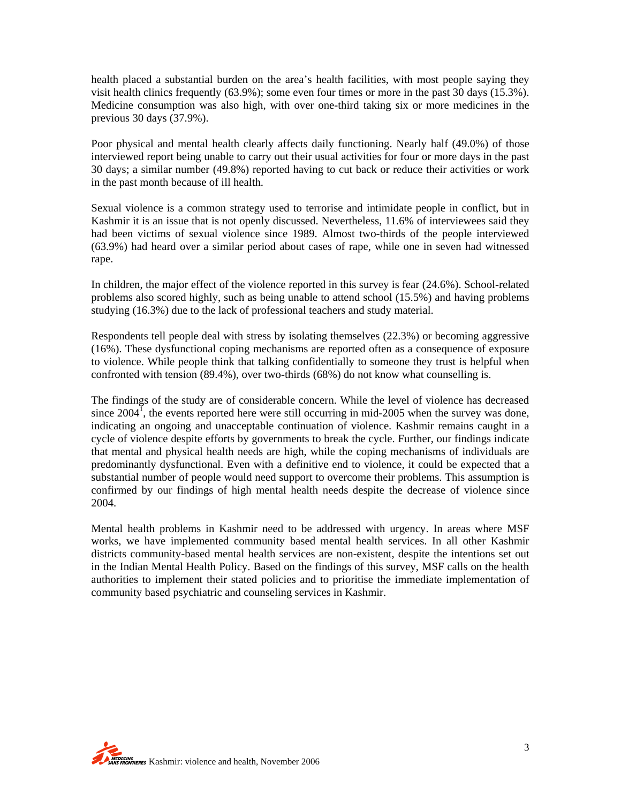health placed a substantial burden on the area's health facilities, with most people saying they visit health clinics frequently (63.9%); some even four times or more in the past 30 days (15.3%). Medicine consumption was also high, with over one-third taking six or more medicines in the previous 30 days (37.9%).

Poor physical and mental health clearly affects daily functioning. Nearly half (49.0%) of those interviewed report being unable to carry out their usual activities for four or more days in the past 30 days; a similar number (49.8%) reported having to cut back or reduce their activities or work in the past month because of ill health.

Sexual violence is a common strategy used to terrorise and intimidate people in conflict, but in Kashmir it is an issue that is not openly discussed. Nevertheless, 11.6% of interviewees said they had been victims of sexual violence since 1989. Almost two-thirds of the people interviewed (63.9%) had heard over a similar period about cases of rape, while one in seven had witnessed rape.

In children, the major effect of the violence reported in this survey is fear (24.6%). School-related problems also scored highly, such as being unable to attend school (15.5%) and having problems studying (16.3%) due to the lack of professional teachers and study material.

Respondents tell people deal with stress by isolating themselves (22.3%) or becoming aggressive (16%). These dysfunctional coping mechanisms are reported often as a consequence of exposure to violence. While people think that talking confidentially to someone they trust is helpful when confronted with tension (89.4%), over two-thirds (68%) do not know what counselling is.

The findings of the study are of considerable concern. While the level of violence has decreased since  $2004^{\frac{1}{1}}$ , the events reported here were still occurring in mid-2005 when the survey was done, indicating an ongoing and unacceptable continuation of violence. Kashmir remains caught in a cycle of violence despite efforts by governments to break the cycle. Further, our findings indicate that mental and physical health needs are high, while the coping mechanisms of individuals are predominantly dysfunctional. Even with a definitive end to violence, it could be expected that a substantial number of people would need support to overcome their problems. This assumption is confirmed by our findings of high mental health needs despite the decrease of violence since 2004.

Mental health problems in Kashmir need to be addressed with urgency. In areas where MSF works, we have implemented community based mental health services. In all other Kashmir districts community-based mental health services are non-existent, despite the intentions set out in the Indian Mental Health Policy. Based on the findings of this survey, MSF calls on the health authorities to implement their stated policies and to prioritise the immediate implementation of community based psychiatric and counseling services in Kashmir.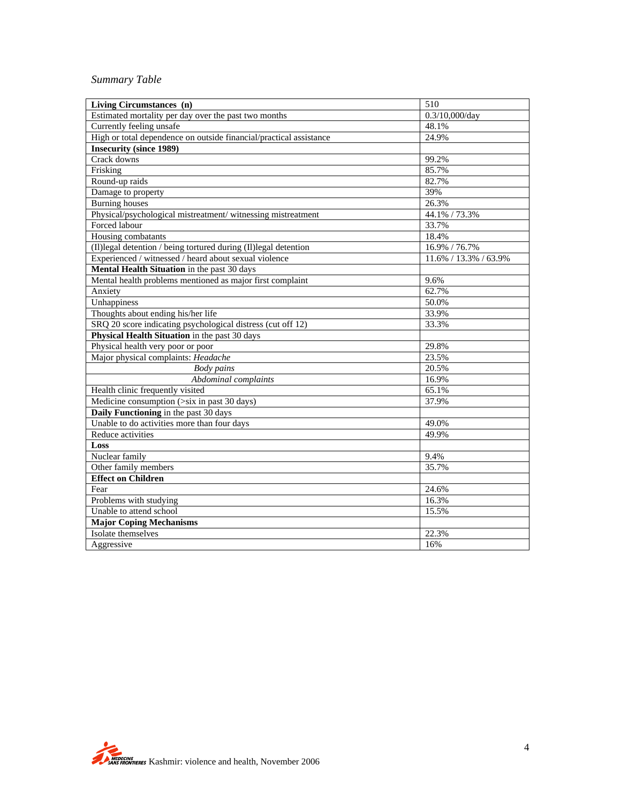### *Summary Table*

| Living Circumstances (n)                                           | 510                   |
|--------------------------------------------------------------------|-----------------------|
| Estimated mortality per day over the past two months               | 0.3/10,000/day        |
| Currently feeling unsafe                                           | 48.1%                 |
| High or total dependence on outside financial/practical assistance | 24.9%                 |
| <b>Insecurity (since 1989)</b>                                     |                       |
| Crack downs                                                        | 99.2%                 |
| Frisking                                                           | 85.7%                 |
| Round-up raids                                                     | 82.7%                 |
| Damage to property                                                 | 39%                   |
| <b>Burning</b> houses                                              | 26.3%                 |
| Physical/psychological mistreatment/ witnessing mistreatment       | 44.1% / 73.3%         |
| Forced labour                                                      | 33.7%                 |
| Housing combatants                                                 | 18.4%                 |
| (II)legal detention / being tortured during (II)legal detention    | 16.9% / 76.7%         |
| Experienced / witnessed / heard about sexual violence              | 11.6% / 13.3% / 63.9% |
| Mental Health Situation in the past 30 days                        |                       |
| Mental health problems mentioned as major first complaint          | 9.6%                  |
| Anxiety                                                            | 62.7%                 |
| Unhappiness                                                        | 50.0%                 |
| Thoughts about ending his/her life                                 | 33.9%                 |
| SRQ 20 score indicating psychological distress (cut off 12)        | 33.3%                 |
| Physical Health Situation in the past 30 days                      |                       |
| Physical health very poor or poor                                  | 29.8%                 |
| Major physical complaints: Headache                                | 23.5%                 |
| <b>Body</b> pains                                                  | 20.5%                 |
| Abdominal complaints                                               | 16.9%                 |
| Health clinic frequently visited                                   | 65.1%                 |
| Medicine consumption (>six in past 30 days)                        | 37.9%                 |
| <b>Daily Functioning</b> in the past 30 days                       |                       |
| Unable to do activities more than four days                        | 49.0%                 |
| Reduce activities                                                  | 49.9%                 |
| Loss                                                               |                       |
| Nuclear family                                                     | 9.4%                  |
| Other family members                                               | 35.7%                 |
| <b>Effect on Children</b>                                          |                       |
| Fear                                                               | 24.6%                 |
| Problems with studying                                             | 16.3%                 |
| Unable to attend school                                            | 15.5%                 |
| <b>Major Coping Mechanisms</b>                                     |                       |
| Isolate themselves                                                 | 22.3%                 |
| Aggressive                                                         | 16%                   |
|                                                                    |                       |

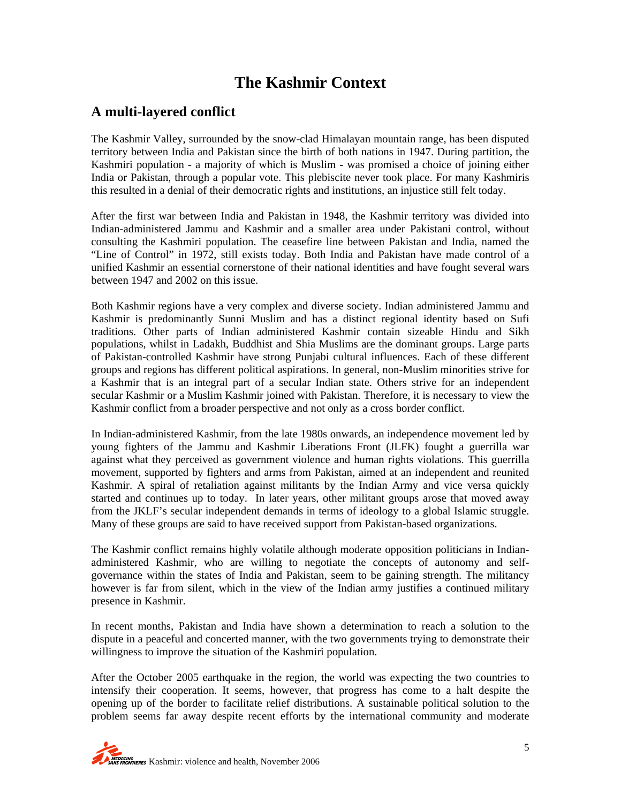# **The Kashmir Context**

### **A multi-layered conflict**

The Kashmir Valley, surrounded by the snow-clad Himalayan mountain range, has been disputed territory between India and Pakistan since the birth of both nations in 1947. During partition, the Kashmiri population - a majority of which is Muslim - was promised a choice of joining either India or Pakistan, through a popular vote. This plebiscite never took place. For many Kashmiris this resulted in a denial of their democratic rights and institutions, an injustice still felt today.

After the first war between India and Pakistan in 1948, the Kashmir territory was divided into Indian-administered Jammu and Kashmir and a smaller area under Pakistani control, without consulting the Kashmiri population. The ceasefire line between Pakistan and India, named the "Line of Control" in 1972, still exists today. Both India and Pakistan have made control of a unified Kashmir an essential cornerstone of their national identities and have fought several wars between 1947 and 2002 on this issue.

Both Kashmir regions have a very complex and diverse society. Indian administered Jammu and Kashmir is predominantly Sunni Muslim and has a distinct regional identity based on Sufi traditions. Other parts of Indian administered Kashmir contain sizeable Hindu and Sikh populations, whilst in Ladakh, Buddhist and Shia Muslims are the dominant groups. Large parts of Pakistan-controlled Kashmir have strong Punjabi cultural influences. Each of these different groups and regions has different political aspirations. In general, non-Muslim minorities strive for a Kashmir that is an integral part of a secular Indian state. Others strive for an independent secular Kashmir or a Muslim Kashmir joined with Pakistan. Therefore, it is necessary to view the Kashmir conflict from a broader perspective and not only as a cross border conflict.

In Indian-administered Kashmir, from the late 1980s onwards, an independence movement led by young fighters of the Jammu and Kashmir Liberations Front (JLFK) fought a guerrilla war against what they perceived as government violence and human rights violations. This guerrilla movement, supported by fighters and arms from Pakistan, aimed at an independent and reunited Kashmir. A spiral of retaliation against militants by the Indian Army and vice versa quickly started and continues up to today. In later years, other militant groups arose that moved away from the JKLF's secular independent demands in terms of ideology to a global Islamic struggle. Many of these groups are said to have received support from Pakistan-based organizations.

The Kashmir conflict remains highly volatile although moderate opposition politicians in Indianadministered Kashmir, who are willing to negotiate the concepts of autonomy and selfgovernance within the states of India and Pakistan, seem to be gaining strength. The militancy however is far from silent, which in the view of the Indian army justifies a continued military presence in Kashmir.

In recent months, Pakistan and India have shown a determination to reach a solution to the dispute in a peaceful and concerted manner, with the two governments trying to demonstrate their willingness to improve the situation of the Kashmiri population.

After the October 2005 earthquake in the region, the world was expecting the two countries to intensify their cooperation. It seems, however, that progress has come to a halt despite the opening up of the border to facilitate relief distributions. A sustainable political solution to the problem seems far away despite recent efforts by the international community and moderate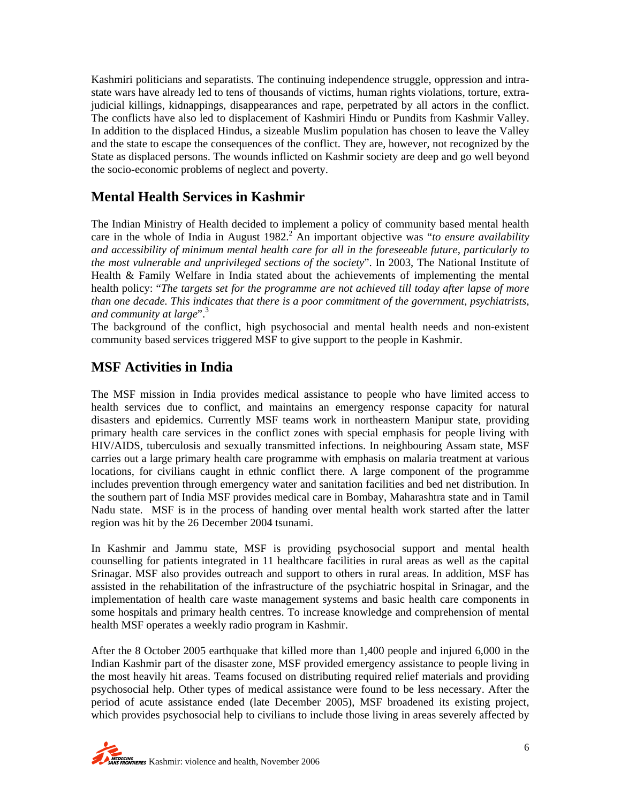Kashmiri politicians and separatists. The continuing independence struggle, oppression and intrastate wars have already led to tens of thousands of victims, human rights violations, torture, extrajudicial killings, kidnappings, disappearances and rape, perpetrated by all actors in the conflict. The conflicts have also led to displacement of Kashmiri Hindu or Pundits from Kashmir Valley. In addition to the displaced Hindus, a sizeable Muslim population has chosen to leave the Valley and the state to escape the consequences of the conflict. They are, however, not recognized by the State as displaced persons. The wounds inflicted on Kashmir society are deep and go well beyond the socio-economic problems of neglect and poverty.

# **Mental Health Services in Kashmir**

The Indian Ministry of Health decided to implement a policy of community based mental health care in the whole of India in August  $1982$ <sup>2</sup> An important objective was "*to ensure availability and accessibility of minimum mental health care for all in the foreseeable future, particularly to the most vulnerable and unprivileged sections of the society*". In 2003, The National Institute of Health & Family Welfare in India stated about the achievements of implementing the mental health policy: "*The targets set for the programme are not achieved till today after lapse of more than one decade. This indicates that there is a poor commitment of the government, psychiatrists, and community at large*".<sup>3</sup>

The background of the conflict, high psychosocial and mental health needs and non-existent community based services triggered MSF to give support to the people in Kashmir.

## **MSF Activities in India**

The MSF mission in India provides medical assistance to people who have limited access to health services due to conflict, and maintains an emergency response capacity for natural disasters and epidemics. Currently MSF teams work in northeastern Manipur state, providing primary health care services in the conflict zones with special emphasis for people living with HIV/AIDS, tuberculosis and sexually transmitted infections. In neighbouring Assam state, MSF carries out a large primary health care programme with emphasis on malaria treatment at various locations, for civilians caught in ethnic conflict there. A large component of the programme includes prevention through emergency water and sanitation facilities and bed net distribution. In the southern part of India MSF provides medical care in Bombay, Maharashtra state and in Tamil Nadu state. MSF is in the process of handing over mental health work started after the latter region was hit by the 26 December 2004 tsunami.

In Kashmir and Jammu state, MSF is providing psychosocial support and mental health counselling for patients integrated in 11 healthcare facilities in rural areas as well as the capital Srinagar. MSF also provides outreach and support to others in rural areas. In addition, MSF has assisted in the rehabilitation of the infrastructure of the psychiatric hospital in Srinagar, and the implementation of health care waste management systems and basic health care components in some hospitals and primary health centres. To increase knowledge and comprehension of mental health MSF operates a weekly radio program in Kashmir.

After the 8 October 2005 earthquake that killed more than 1,400 people and injured 6,000 in the Indian Kashmir part of the disaster zone, MSF provided emergency assistance to people living in the most heavily hit areas. Teams focused on distributing required relief materials and providing psychosocial help. Other types of medical assistance were found to be less necessary. After the period of acute assistance ended (late December 2005), MSF broadened its existing project, which provides psychosocial help to civilians to include those living in areas severely affected by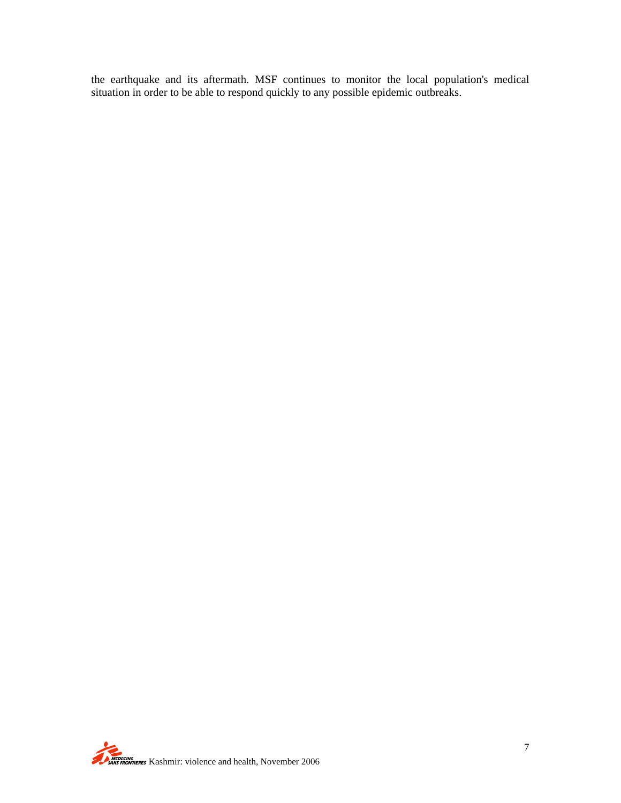the earthquake and its aftermath. MSF continues to monitor the local population's medical situation in order to be able to respond quickly to any possible epidemic outbreaks.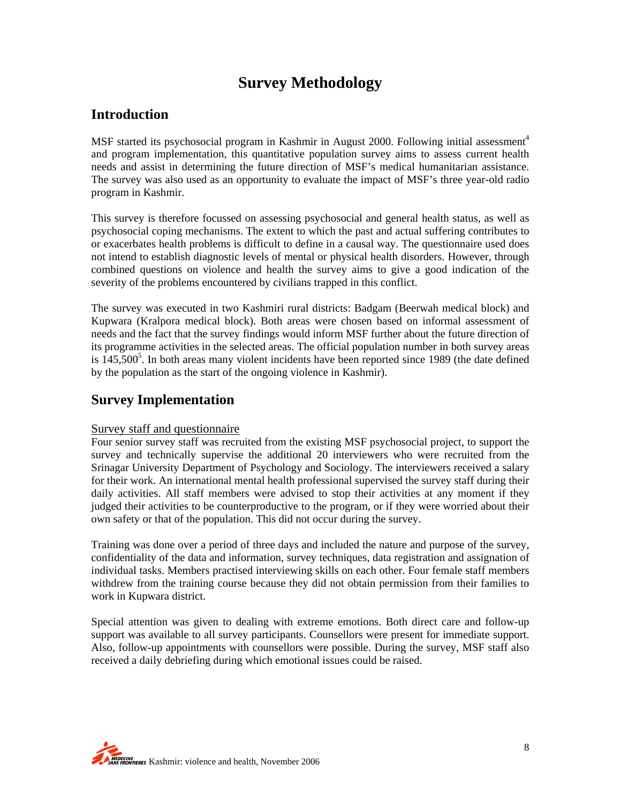# **Survey Methodology**

### **Introduction**

MSF started its psychosocial program in Kashmir in August 2000. Following initial assessment<sup>4</sup> and program implementation, this quantitative population survey aims to assess current health needs and assist in determining the future direction of MSF's medical humanitarian assistance. The survey was also used as an opportunity to evaluate the impact of MSF's three year-old radio program in Kashmir.

This survey is therefore focussed on assessing psychosocial and general health status, as well as psychosocial coping mechanisms. The extent to which the past and actual suffering contributes to or exacerbates health problems is difficult to define in a causal way. The questionnaire used does not intend to establish diagnostic levels of mental or physical health disorders. However, through combined questions on violence and health the survey aims to give a good indication of the severity of the problems encountered by civilians trapped in this conflict.

The survey was executed in two Kashmiri rural districts: Badgam (Beerwah medical block) and Kupwara (Kralpora medical block). Both areas were chosen based on informal assessment of needs and the fact that the survey findings would inform MSF further about the future direction of its programme activities in the selected areas. The official population number in both survey areas is  $145,500<sup>5</sup>$ . In both areas many violent incidents have been reported since 1989 (the date defined by the population as the start of the ongoing violence in Kashmir).

# **Survey Implementation**

#### Survey staff and questionnaire

Four senior survey staff was recruited from the existing MSF psychosocial project, to support the survey and technically supervise the additional 20 interviewers who were recruited from the Srinagar University Department of Psychology and Sociology. The interviewers received a salary for their work. An international mental health professional supervised the survey staff during their daily activities. All staff members were advised to stop their activities at any moment if they judged their activities to be counterproductive to the program, or if they were worried about their own safety or that of the population. This did not occur during the survey.

Training was done over a period of three days and included the nature and purpose of the survey, confidentiality of the data and information, survey techniques, data registration and assignation of individual tasks. Members practised interviewing skills on each other. Four female staff members withdrew from the training course because they did not obtain permission from their families to work in Kupwara district.

Special attention was given to dealing with extreme emotions. Both direct care and follow-up support was available to all survey participants. Counsellors were present for immediate support. Also, follow-up appointments with counsellors were possible. During the survey, MSF staff also received a daily debriefing during which emotional issues could be raised.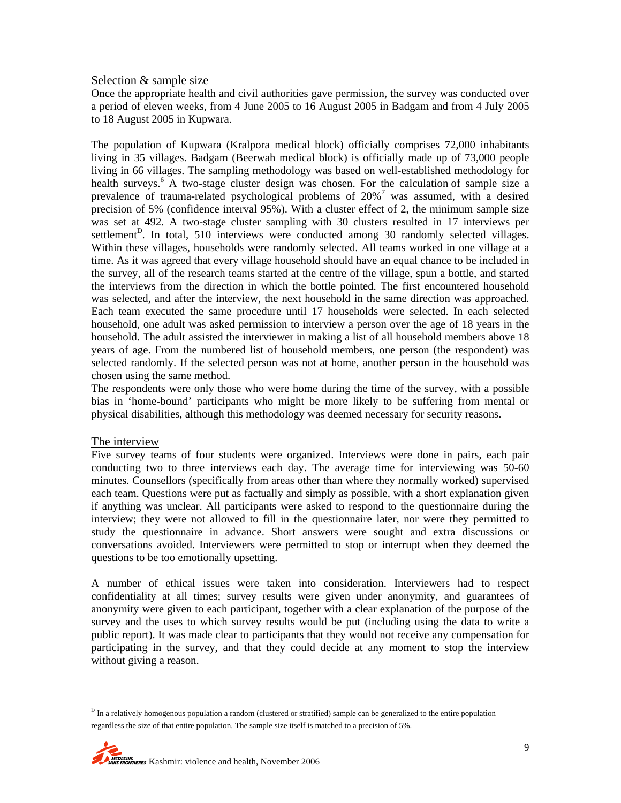#### Selection & sample size

Once the appropriate health and civil authorities gave permission, the survey was conducted over a period of eleven weeks, from 4 June 2005 to 16 August 2005 in Badgam and from 4 July 2005 to 18 August 2005 in Kupwara.

The population of Kupwara (Kralpora medical block) officially comprises 72,000 inhabitants living in 35 villages. Badgam (Beerwah medical block) is officially made up of 73,000 people living in 66 villages. The sampling methodology was based on well-established methodology for health surveys.<sup>6</sup> A two-stage cluster design was chosen. For the calculation of sample size a prevalence of trauma-related psychological problems of  $20\%$ <sup>7</sup> was assumed, with a desired precision of 5% (confidence interval 95%). With a cluster effect of 2, the minimum sample size was set at 492. A two-stage cluster sampling with 30 clusters resulted in 17 interviews per settlement<sup>D</sup>. In total, 510 interviews were conducted among 30 randomly selected villages. Within these villages, households were randomly selected. All teams worked in one village at a time. As it was agreed that every village household should have an equal chance to be included in the survey, all of the research teams started at the centre of the village, spun a bottle, and started the interviews from the direction in which the bottle pointed. The first encountered household was selected, and after the interview, the next household in the same direction was approached. Each team executed the same procedure until 17 households were selected. In each selected household, one adult was asked permission to interview a person over the age of 18 years in the household. The adult assisted the interviewer in making a list of all household members above 18 years of age. From the numbered list of household members, one person (the respondent) was selected randomly. If the selected person was not at home, another person in the household was chosen using the same method.

The respondents were only those who were home during the time of the survey, with a possible bias in 'home-bound' participants who might be more likely to be suffering from mental or physical disabilities, although this methodology was deemed necessary for security reasons.

#### The interview

l

Five survey teams of four students were organized. Interviews were done in pairs, each pair conducting two to three interviews each day. The average time for interviewing was 50-60 minutes. Counsellors (specifically from areas other than where they normally worked) supervised each team. Questions were put as factually and simply as possible, with a short explanation given if anything was unclear. All participants were asked to respond to the questionnaire during the interview; they were not allowed to fill in the questionnaire later, nor were they permitted to study the questionnaire in advance. Short answers were sought and extra discussions or conversations avoided. Interviewers were permitted to stop or interrupt when they deemed the questions to be too emotionally upsetting.

A number of ethical issues were taken into consideration. Interviewers had to respect confidentiality at all times; survey results were given under anonymity, and guarantees of anonymity were given to each participant, together with a clear explanation of the purpose of the survey and the uses to which survey results would be put (including using the data to write a public report). It was made clear to participants that they would not receive any compensation for participating in the survey, and that they could decide at any moment to stop the interview without giving a reason.

 $<sup>D</sup>$  In a relatively homogenous population a random (clustered or stratified) sample can be generalized to the entire population</sup> regardless the size of that entire population. The sample size itself is matched to a precision of 5%.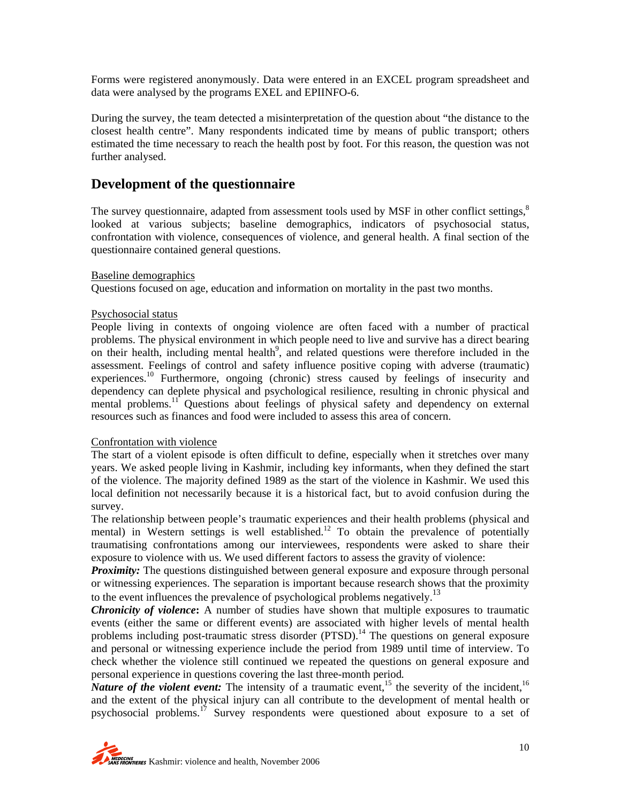Forms were registered anonymously. Data were entered in an EXCEL program spreadsheet and data were analysed by the programs EXEL and EPIINFO-6.

During the survey, the team detected a misinterpretation of the question about "the distance to the closest health centre". Many respondents indicated time by means of public transport; others estimated the time necessary to reach the health post by foot. For this reason, the question was not further analysed.

### **Development of the questionnaire**

The survey questionnaire, adapted from assessment tools used by MSF in other conflict settings,<sup>8</sup> looked at various subjects; baseline demographics, indicators of psychosocial status, confrontation with violence, consequences of violence, and general health. A final section of the questionnaire contained general questions.

#### Baseline demographics

Questions focused on age, education and information on mortality in the past two months.

#### Psychosocial status

People living in contexts of ongoing violence are often faced with a number of practical problems. The physical environment in which people need to live and survive has a direct bearing on their health, including mental health<sup>9</sup>, and related questions were therefore included in the assessment. Feelings of control and safety influence positive coping with adverse (traumatic) experiences.<sup>10</sup> Furthermore, ongoing (chronic) stress caused by feelings of insecurity and dependency can deplete physical and psychological resilience, resulting in chronic physical and mental problems.<sup>11</sup> Questions about feelings of physical safety and dependency on external resources such as finances and food were included to assess this area of concern.

#### Confrontation with violence

The start of a violent episode is often difficult to define, especially when it stretches over many years. We asked people living in Kashmir, including key informants, when they defined the start of the violence. The majority defined 1989 as the start of the violence in Kashmir. We used this local definition not necessarily because it is a historical fact, but to avoid confusion during the survey.

The relationship between people's traumatic experiences and their health problems (physical and mental) in Western settings is well established.<sup>12</sup> To obtain the prevalence of potentially traumatising confrontations among our interviewees, respondents were asked to share their exposure to violence with us. We used different factors to assess the gravity of violence:

*Proximity:* The questions distinguished between general exposure and exposure through personal or witnessing experiences. The separation is important because research shows that the proximity to the event influences the prevalence of psychological problems negatively.<sup>13</sup>

*Chronicity of violence***:** A number of studies have shown that multiple exposures to traumatic events (either the same or different events) are associated with higher levels of mental health problems including post-traumatic stress disorder  $(PTSD)$ .<sup>14</sup> The questions on general exposure and personal or witnessing experience include the period from 1989 until time of interview. To check whether the violence still continued we repeated the questions on general exposure and personal experience in questions covering the last three-month period*.* 

*Nature of the violent event:* The intensity of a traumatic event,<sup>15</sup> the severity of the incident.<sup>16</sup> and the extent of the physical injury can all contribute to the development of mental health or psychosocial problems.17 Survey respondents were questioned about exposure to a set of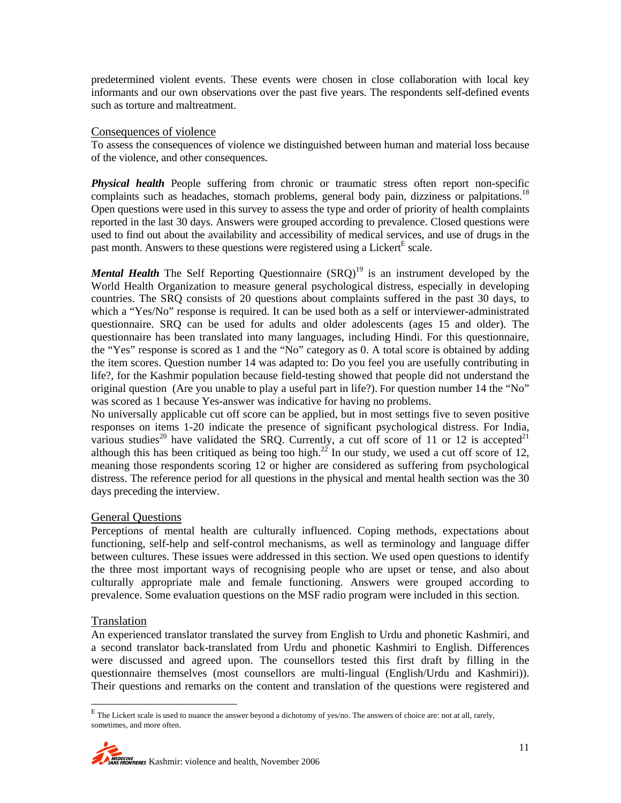predetermined violent events. These events were chosen in close collaboration with local key informants and our own observations over the past five years. The respondents self-defined events such as torture and maltreatment.

#### Consequences of violence

To assess the consequences of violence we distinguished between human and material loss because of the violence, and other consequences.

*Physical health* People suffering from chronic or traumatic stress often report non-specific complaints such as headaches, stomach problems, general body pain, dizziness or palpitations.<sup>18</sup> Open questions were used in this survey to assess the type and order of priority of health complaints reported in the last 30 days. Answers were grouped according to prevalence. Closed questions were used to find out about the availability and accessibility of medical services, and use of drugs in the past month. Answers to these questions were registered using a Licker $t<sup>E</sup>$  scale.

*Mental Health* The Self Reporting Questionnaire (SRQ)<sup>19</sup> is an instrument developed by the World Health Organization to measure general psychological distress, especially in developing countries. The SRQ consists of 20 questions about complaints suffered in the past 30 days, to which a "Yes/No" response is required. It can be used both as a self or interviewer-administrated questionnaire. SRQ can be used for adults and older adolescents (ages 15 and older). The questionnaire has been translated into many languages, including Hindi. For this questionnaire, the "Yes" response is scored as 1 and the "No" category as 0. A total score is obtained by adding the item scores. Question number 14 was adapted to: Do you feel you are usefully contributing in life?, for the Kashmir population because field-testing showed that people did not understand the original question (Are you unable to play a useful part in life?). For question number 14 the "No" was scored as 1 because Yes-answer was indicative for having no problems.

No universally applicable cut off score can be applied, but in most settings five to seven positive responses on items 1-20 indicate the presence of significant psychological distress. For India, various studies<sup>20</sup> have validated the SRQ. Currently, a cut off score of 11 or 12 is accepted<sup>21</sup> although this has been critiqued as being too high.<sup>22</sup> In our study, we used a cut off score of 12, meaning those respondents scoring 12 or higher are considered as suffering from psychological distress. The reference period for all questions in the physical and mental health section was the 30 days preceding the interview.

#### General Questions

Perceptions of mental health are culturally influenced. Coping methods, expectations about functioning, self-help and self-control mechanisms, as well as terminology and language differ between cultures. These issues were addressed in this section. We used open questions to identify the three most important ways of recognising people who are upset or tense, and also about culturally appropriate male and female functioning. Answers were grouped according to prevalence. Some evaluation questions on the MSF radio program were included in this section.

#### Translation

An experienced translator translated the survey from English to Urdu and phonetic Kashmiri, and a second translator back-translated from Urdu and phonetic Kashmiri to English. Differences were discussed and agreed upon. The counsellors tested this first draft by filling in the questionnaire themselves (most counsellors are multi-lingual (English/Urdu and Kashmiri)). Their questions and remarks on the content and translation of the questions were registered and

E<br><sup>E</sup> The Lickert scale is used to nuance the answer beyond a dichotomy of yes/no. The answers of choice are: not at all, rarely, sometimes, and more often.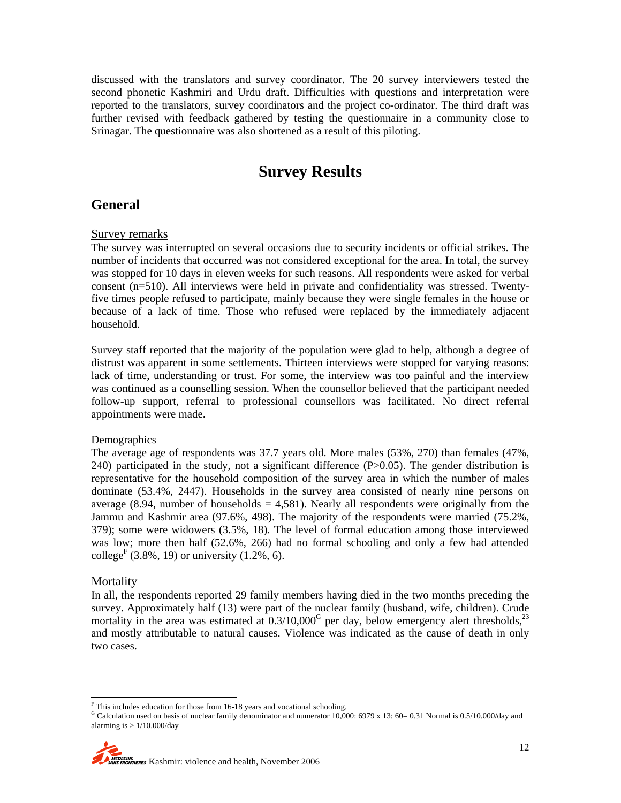discussed with the translators and survey coordinator. The 20 survey interviewers tested the second phonetic Kashmiri and Urdu draft. Difficulties with questions and interpretation were reported to the translators, survey coordinators and the project co-ordinator. The third draft was further revised with feedback gathered by testing the questionnaire in a community close to Srinagar. The questionnaire was also shortened as a result of this piloting.

# **Survey Results**

### **General**

#### Survey remarks

The survey was interrupted on several occasions due to security incidents or official strikes. The number of incidents that occurred was not considered exceptional for the area. In total, the survey was stopped for 10 days in eleven weeks for such reasons. All respondents were asked for verbal consent (n=510). All interviews were held in private and confidentiality was stressed. Twentyfive times people refused to participate, mainly because they were single females in the house or because of a lack of time. Those who refused were replaced by the immediately adjacent household.

Survey staff reported that the majority of the population were glad to help, although a degree of distrust was apparent in some settlements. Thirteen interviews were stopped for varying reasons: lack of time, understanding or trust. For some, the interview was too painful and the interview was continued as a counselling session. When the counsellor believed that the participant needed follow-up support, referral to professional counsellors was facilitated. No direct referral appointments were made.

#### **Demographics**

The average age of respondents was 37.7 years old. More males (53%, 270) than females (47%, 240) participated in the study, not a significant difference (P>0.05). The gender distribution is representative for the household composition of the survey area in which the number of males dominate (53.4%, 2447). Households in the survey area consisted of nearly nine persons on average  $(8.94,$  number of households  $= 4,581$ ). Nearly all respondents were originally from the Jammu and Kashmir area (97.6%, 498). The majority of the respondents were married (75.2%, 379); some were widowers (3.5%, 18). The level of formal education among those interviewed was low; more then half (52.6%, 266) had no formal schooling and only a few had attended college<sup>F</sup> (3.8%, 19) or university (1.2%, 6).

#### Mortality

In all, the respondents reported 29 family members having died in the two months preceding the survey. Approximately half (13) were part of the nuclear family (husband, wife, children). Crude mortality in the area was estimated at  $0.3/10,000^{\circ}$  per day, below emergency alert thresholds,<sup>23</sup> and mostly attributable to natural causes. Violence was indicated as the cause of death in only two cases.

<sup>|&</sup>lt;br>F

G Calculation used on basis of nuclear family denominator and numerator 10,000: 6979 x 13: 60= 0.31 Normal is 0.5/10.000/day and alarming is  $> 1/10.000$ /day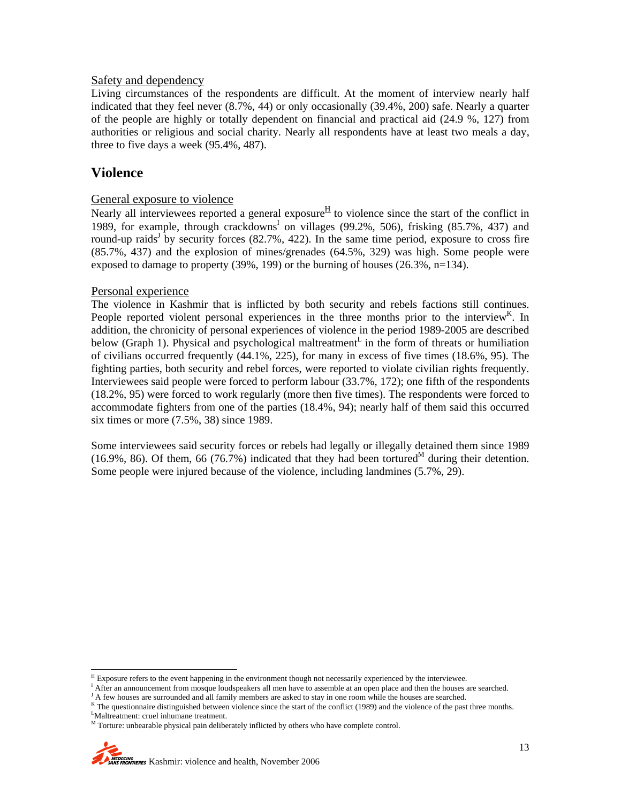#### Safety and dependency

Living circumstances of the respondents are difficult. At the moment of interview nearly half indicated that they feel never (8.7%, 44) or only occasionally (39.4%, 200) safe. Nearly a quarter of the people are highly or totally dependent on financial and practical aid (24.9 %, 127) from authorities or religious and social charity. Nearly all respondents have at least two meals a day, three to five days a week (95.4%, 487).

### **Violence**

 $\overline{a}$ 

#### General exposure to violence

Nearly all interviewees reported a general exposure  $H$  to violence since the start of the conflict in 1989, for example, through crackdowns<sup>I</sup> on villages (99.2%, 506), frisking (85.7%, 437) and round-up raids<sup>J</sup> by security forces (82.7%, 422). In the same time period, exposure to cross fire (85.7%, 437) and the explosion of mines/grenades (64.5%, 329) was high. Some people were exposed to damage to property  $(39\%, 199)$  or the burning of houses  $(26.3\%, n=134)$ .

#### Personal experience

The violence in Kashmir that is inflicted by both security and rebels factions still continues. People reported violent personal experiences in the three months prior to the interview<sup>K</sup>. In addition, the chronicity of personal experiences of violence in the period 1989-2005 are described below (Graph 1). Physical and psychological maltreatment<sup>L</sup> in the form of threats or humiliation of civilians occurred frequently (44.1%, 225), for many in excess of five times (18.6%, 95). The fighting parties, both security and rebel forces, were reported to violate civilian rights frequently. Interviewees said people were forced to perform labour (33.7%, 172); one fifth of the respondents (18.2%, 95) were forced to work regularly (more then five times). The respondents were forced to accommodate fighters from one of the parties (18.4%, 94); nearly half of them said this occurred six times or more (7.5%, 38) since 1989.

Some interviewees said security forces or rebels had legally or illegally detained them since 1989 (16.9%, 86). Of them, 66 (76.7%) indicated that they had been tortured<sup>M</sup> during their detention. Some people were injured because of the violence, including landmines (5.7%, 29).

 $H_{\text{Exposure}}$  refers to the event happening in the environment though not necessarily experienced by the interviewee. In the house  $\mathbb{R}^1$ 

<sup>&</sup>lt;sup>1</sup> After an announcement from mosque loudspeakers all men have to assemble at an open place and then the houses are searched.

<sup>&</sup>lt;sup>J</sup> A few houses are surrounded and all family members are asked to stay in one room while the houses are searched.

K The questionnaire distinguished between violence since the start of the conflict (1989) and the violence of the past three months. Maltreatment: cruel inhumane treatment.

M Torture: unbearable physical pain deliberately inflicted by others who have complete control.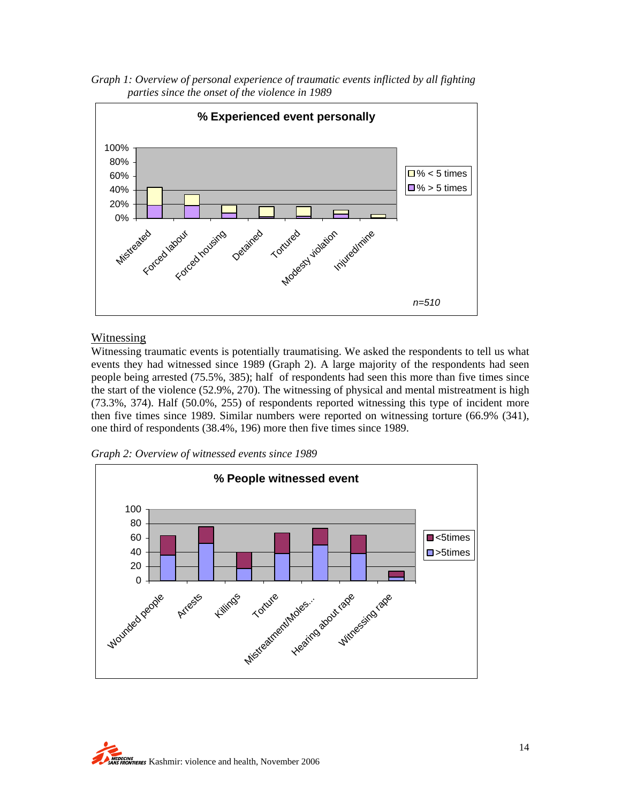*Graph 1: Overview of personal experience of traumatic events inflicted by all fighting parties since the onset of the violence in 1989* 



#### Witnessing

Witnessing traumatic events is potentially traumatising. We asked the respondents to tell us what events they had witnessed since 1989 (Graph 2). A large majority of the respondents had seen people being arrested (75.5%, 385); half of respondents had seen this more than five times since the start of the violence (52.9%, 270). The witnessing of physical and mental mistreatment is high (73.3%, 374). Half (50.0%, 255) of respondents reported witnessing this type of incident more then five times since 1989. Similar numbers were reported on witnessing torture (66.9% (341), one third of respondents (38.4%, 196) more then five times since 1989.

*Graph 2: Overview of witnessed events since 1989* 



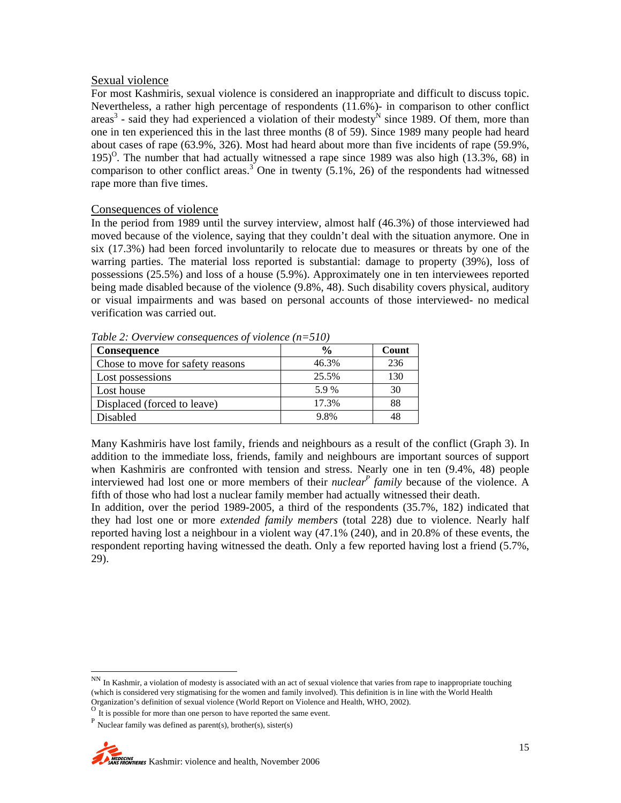#### Sexual violence

For most Kashmiris, sexual violence is considered an inappropriate and difficult to discuss topic. Nevertheless, a rather high percentage of respondents (11.6%)- in comparison to other conflict areas<sup>3</sup> - said they had experienced a violation of their modesty<sup>N</sup> since 1989. Of them, more than one in ten experienced this in the last three months (8 of 59). Since 1989 many people had heard about cases of rape (63.9%, 326). Most had heard about more than five incidents of rape (59.9%, 195)<sup>O</sup>. The number that had actually witnessed a rape since 1989 was also high (13.3%, 68) in comparison to other conflict areas.<sup>3</sup> One in twenty  $(5.1\%, 26)$  of the respondents had witnessed rape more than five times.

#### Consequences of violence

In the period from 1989 until the survey interview, almost half (46.3%) of those interviewed had moved because of the violence, saying that they couldn't deal with the situation anymore. One in six (17.3%) had been forced involuntarily to relocate due to measures or threats by one of the warring parties. The material loss reported is substantial: damage to property (39%), loss of possessions (25.5%) and loss of a house (5.9%). Approximately one in ten interviewees reported being made disabled because of the violence (9.8%, 48). Such disability covers physical, auditory or visual impairments and was based on personal accounts of those interviewed- no medical verification was carried out.

| Consequence                      | $\frac{6}{9}$ | Count |
|----------------------------------|---------------|-------|
| Chose to move for safety reasons | 46.3%         | 236   |
| Lost possessions                 | 25.5%         | 130   |
| Lost house                       | 5.9%          | 30    |
| Displaced (forced to leave)      | 17.3%         | 88    |
| Disabled                         | 9.8%          | 48    |

*Table 2: Overview consequences of violence (n=510)* 

Many Kashmiris have lost family, friends and neighbours as a result of the conflict (Graph 3). In addition to the immediate loss, friends, family and neighbours are important sources of support when Kashmiris are confronted with tension and stress. Nearly one in ten (9.4%, 48) people interviewed had lost one or more members of their *nuclear*<sup>*P*</sup> family because of the violence. A fifth of those who had lost a nuclear family member had actually witnessed their death.

In addition, over the period 1989-2005, a third of the respondents (35.7%, 182) indicated that they had lost one or more *extended family members* (total 228) due to violence. Nearly half reported having lost a neighbour in a violent way (47.1% (240), and in 20.8% of these events, the respondent reporting having witnessed the death. Only a few reported having lost a friend (5.7%, 29).

NN In Kashmir, a violation of modesty is associated with an act of sexual violence that varies from rape to inappropriate touching (which is considered very stigmatising for the women and family involved). This definition is in line with the World Health Organization's definition of sexual violence (World Report on Violence and Health, WHO, 2002).

 $P$  Nuclear family was defined as parent(s), brother(s), sister(s)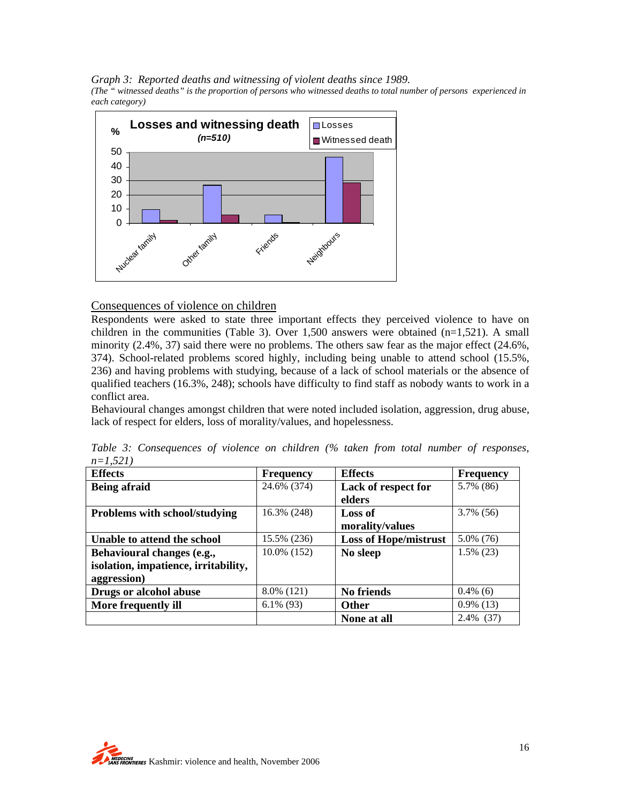*Graph 3: Reported deaths and witnessing of violent deaths since 1989. (The " witnessed deaths" is the proportion of persons who witnessed deaths to total number of persons experienced in each category)* 



#### Consequences of violence on children

Respondents were asked to state three important effects they perceived violence to have on children in the communities (Table 3). Over  $1,500$  answers were obtained (n=1,521). A small minority (2.4%, 37) said there were no problems. The others saw fear as the major effect (24.6%, 374). School-related problems scored highly, including being unable to attend school (15.5%, 236) and having problems with studying, because of a lack of school materials or the absence of qualified teachers (16.3%, 248); schools have difficulty to find staff as nobody wants to work in a conflict area.

Behavioural changes amongst children that were noted included isolation, aggression, drug abuse, lack of respect for elders, loss of morality/values, and hopelessness.

| <b>Effects</b>                       | <b>Frequency</b> | <b>Effects</b>               | <b>Frequency</b> |
|--------------------------------------|------------------|------------------------------|------------------|
| <b>Being afraid</b>                  | 24.6% (374)      | Lack of respect for          | 5.7% (86)        |
|                                      |                  | elders                       |                  |
| Problems with school/studying        | 16.3% (248)      | Loss of                      | $3.7\%$ (56)     |
|                                      |                  | morality/values              |                  |
| Unable to attend the school          | 15.5% (236)      | <b>Loss of Hope/mistrust</b> | $5.0\%$ (76)     |
| Behavioural changes (e.g.,           | 10.0% (152)      | No sleep                     | $1.5\%$ (23)     |
| isolation, impatience, irritability, |                  |                              |                  |
| aggression)                          |                  |                              |                  |
| Drugs or alcohol abuse               | 8.0% (121)       | No friends                   | $0.4\%$ (6)      |
| More frequently ill                  | $6.1\%$ (93)     | <b>Other</b>                 | $0.9\%$ (13)     |
|                                      |                  | None at all                  | 2.4% (37)        |

*Table 3: Consequences of violence on children (% taken from total number of responses, n=1,521)* 

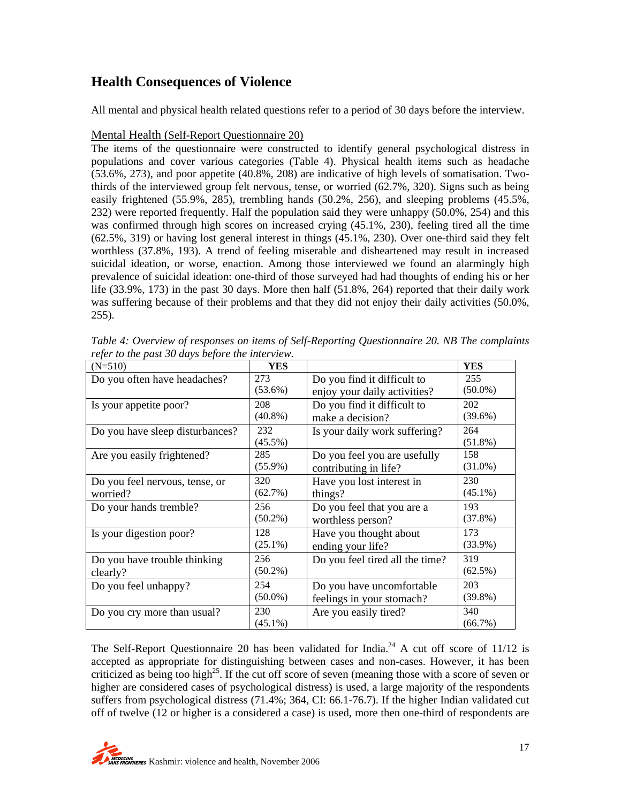# **Health Consequences of Violence**

All mental and physical health related questions refer to a period of 30 days before the interview.

#### Mental Health (Self-Report Questionnaire 20)

The items of the questionnaire were constructed to identify general psychological distress in populations and cover various categories (Table 4). Physical health items such as headache (53.6%, 273), and poor appetite (40.8%, 208) are indicative of high levels of somatisation. Twothirds of the interviewed group felt nervous, tense, or worried (62.7%, 320). Signs such as being easily frightened (55.9%, 285), trembling hands (50.2%, 256), and sleeping problems (45.5%, 232) were reported frequently. Half the population said they were unhappy (50.0%, 254) and this was confirmed through high scores on increased crying (45.1%, 230), feeling tired all the time (62.5%, 319) or having lost general interest in things (45.1%, 230). Over one-third said they felt worthless (37.8%, 193). A trend of feeling miserable and disheartened may result in increased suicidal ideation, or worse, enaction. Among those interviewed we found an alarmingly high prevalence of suicidal ideation: one-third of those surveyed had had thoughts of ending his or her life (33.9%, 173) in the past 30 days. More then half (51.8%, 264) reported that their daily work was suffering because of their problems and that they did not enjoy their daily activities (50.0%, 255).

| $(N=510)$                       | <b>YES</b> |                                 | <b>YES</b> |
|---------------------------------|------------|---------------------------------|------------|
| Do you often have headaches?    | 273        | Do you find it difficult to     | 255        |
|                                 | $(53.6\%)$ | enjoy your daily activities?    | $(50.0\%)$ |
| Is your appetite poor?          | 208        | Do you find it difficult to     | 202        |
|                                 | $(40.8\%)$ | make a decision?                | $(39.6\%)$ |
| Do you have sleep disturbances? | 232        | Is your daily work suffering?   | 264        |
|                                 | $(45.5\%)$ |                                 | $(51.8\%)$ |
| Are you easily frightened?      | 285        | Do you feel you are usefully    | 158        |
|                                 | $(55.9\%)$ | contributing in life?           | $(31.0\%)$ |
| Do you feel nervous, tense, or  | 320        | Have you lost interest in       | 230        |
| worried?                        | (62.7%)    | things?                         | $(45.1\%)$ |
| Do your hands tremble?          | 256        | Do you feel that you are a      | 193        |
|                                 | $(50.2\%)$ | worthless person?               | $(37.8\%)$ |
| Is your digestion poor?         | 128        | Have you thought about          | 173        |
|                                 | $(25.1\%)$ | ending your life?               | $(33.9\%)$ |
| Do you have trouble thinking    | 256        | Do you feel tired all the time? | 319        |
| clearly?                        | $(50.2\%)$ |                                 | $(62.5\%)$ |
| Do you feel unhappy?            | 254        | Do you have uncomfortable       | 203        |
|                                 | $(50.0\%)$ | feelings in your stomach?       | $(39.8\%)$ |
| Do you cry more than usual?     | 230        | Are you easily tired?           | 340        |
|                                 | $(45.1\%)$ |                                 | (66.7%)    |

*Table 4: Overview of responses on items of Self-Reporting Questionnaire 20. NB The complaints refer to the past 30 days before the interview.*

The Self-Report Questionnaire 20 has been validated for India.<sup>24</sup> A cut off score of  $11/12$  is accepted as appropriate for distinguishing between cases and non-cases. However, it has been criticized as being too high<sup>25</sup>. If the cut off score of seven (meaning those with a score of seven or higher are considered cases of psychological distress) is used, a large majority of the respondents suffers from psychological distress (71.4%; 364, CI: 66.1-76.7). If the higher Indian validated cut off of twelve (12 or higher is a considered a case) is used, more then one-third of respondents are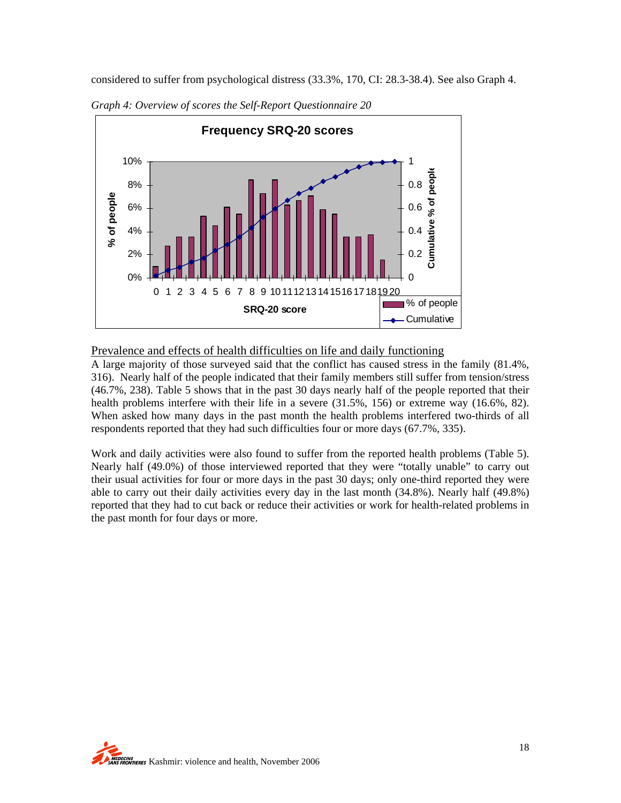considered to suffer from psychological distress (33.3%, 170, CI: 28.3-38.4). See also Graph 4.



*Graph 4: Overview of scores the Self-Report Questionnaire 20* 

#### Prevalence and effects of health difficulties on life and daily functioning

A large majority of those surveyed said that the conflict has caused stress in the family (81.4%, 316). Nearly half of the people indicated that their family members still suffer from tension/stress (46.7%, 238). Table 5 shows that in the past 30 days nearly half of the people reported that their health problems interfere with their life in a severe (31.5%, 156) or extreme way (16.6%, 82). When asked how many days in the past month the health problems interfered two-thirds of all respondents reported that they had such difficulties four or more days (67.7%, 335).

Work and daily activities were also found to suffer from the reported health problems (Table 5). Nearly half (49.0%) of those interviewed reported that they were "totally unable" to carry out their usual activities for four or more days in the past 30 days; only one-third reported they were able to carry out their daily activities every day in the last month (34.8%). Nearly half (49.8%) reported that they had to cut back or reduce their activities or work for health-related problems in the past month for four days or more.

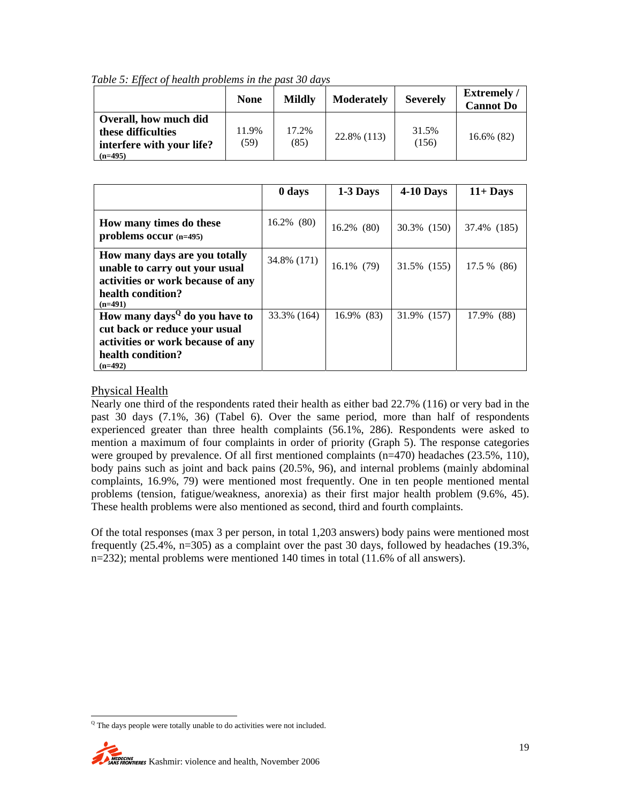*Table 5: Effect of health problems in the past 30 days* 

|                                                                                       | <b>None</b>   | <b>Mildly</b> | <b>Moderately</b> | <b>Severely</b> | <b>Extremely</b> /<br><b>Cannot Do</b> |
|---------------------------------------------------------------------------------------|---------------|---------------|-------------------|-----------------|----------------------------------------|
| Overall, how much did<br>these difficulties<br>interfere with your life?<br>$(n=495)$ | 11.9%<br>(59) | 17.2%<br>(85) | 22.8% (113)       | 31.5%<br>(156)  | 16.6% (82)                             |

|                                                                                                                                                   | 0 days        | 1-3 Days      | $4-10$ Days | $11 +$ Days |
|---------------------------------------------------------------------------------------------------------------------------------------------------|---------------|---------------|-------------|-------------|
| How many times do these<br>problems occur (n=495)                                                                                                 | $16.2\%$ (80) | $16.2\%$ (80) | 30.3% (150) | 37.4% (185) |
| How many days are you totally<br>unable to carry out your usual<br>activities or work because of any<br>health condition?<br>$(n=491)$            | 34.8% (171)   | 16.1% (79)    | 31.5% (155) | 17.5 % (86) |
| How many days <sup>Q</sup> do you have to<br>cut back or reduce your usual<br>activities or work because of any<br>health condition?<br>$(n=492)$ | 33.3% (164)   | 16.9% (83)    | 31.9% (157) | 17.9% (88)  |

#### Physical Health

Nearly one third of the respondents rated their health as either bad 22.7% (116) or very bad in the past 30 days (7.1%, 36) (Tabel 6). Over the same period, more than half of respondents experienced greater than three health complaints (56.1%, 286). Respondents were asked to mention a maximum of four complaints in order of priority (Graph 5). The response categories were grouped by prevalence. Of all first mentioned complaints (n=470) headaches (23.5%, 110), body pains such as joint and back pains (20.5%, 96), and internal problems (mainly abdominal complaints, 16.9%, 79) were mentioned most frequently. One in ten people mentioned mental problems (tension, fatigue/weakness, anorexia) as their first major health problem (9.6%, 45). These health problems were also mentioned as second, third and fourth complaints.

Of the total responses (max 3 per person, in total 1,203 answers) body pains were mentioned most frequently (25.4%, n=305) as a complaint over the past 30 days, followed by headaches (19.3%, n=232); mental problems were mentioned 140 times in total (11.6% of all answers).

 $\overline{a}$ <sup>Q</sup> The days people were totally unable to do activities were not included.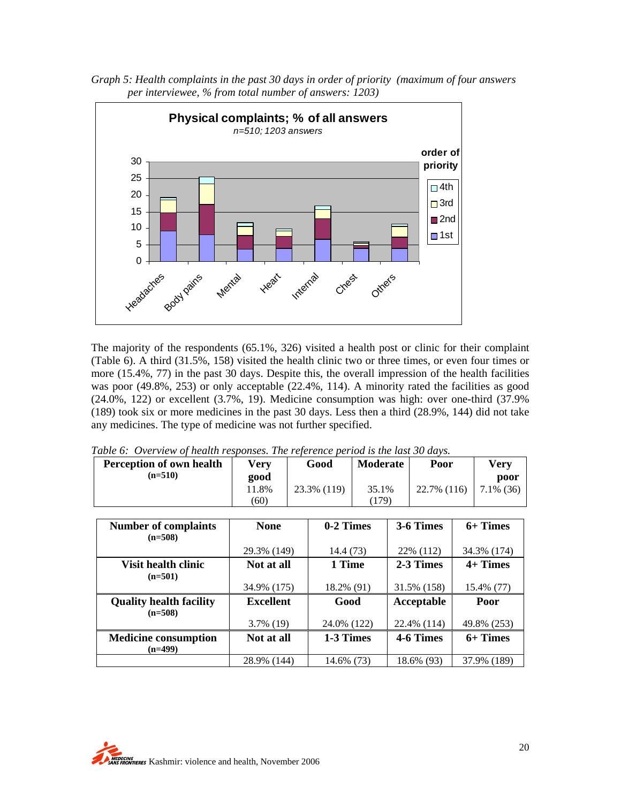



The majority of the respondents (65.1%, 326) visited a health post or clinic for their complaint (Table 6). A third (31.5%, 158) visited the health clinic two or three times, or even four times or more (15.4%, 77) in the past 30 days. Despite this, the overall impression of the health facilities was poor (49.8%, 253) or only acceptable (22.4%, 114). A minority rated the facilities as good (24.0%, 122) or excellent (3.7%, 19). Medicine consumption was high: over one-third (37.9% (189) took six or more medicines in the past 30 days. Less then a third (28.9%, 144) did not take any medicines. The type of medicine was not further specified.

*Table 6: Overview of health responses. The reference period is the last 30 days.* 

| <b>Perception of own health</b> | <b>Very</b>      | Good        | <b>Moderate</b> |  | Poor        |  | <b>Very</b>  |
|---------------------------------|------------------|-------------|-----------------|--|-------------|--|--------------|
| $(n=510)$                       | good             |             |                 |  |             |  | poor         |
|                                 | 11.8%            | 23.3% (119) | 35.1%           |  | 22.7% (116) |  | $7.1\%$ (36) |
|                                 | (60)             |             | (179)           |  |             |  |              |
|                                 |                  |             |                 |  |             |  |              |
| <b>Number of complaints</b>     | <b>None</b>      | 0-2 Times   |                 |  | 3-6 Times   |  | $6+$ Times   |
| $(n=508)$                       |                  |             |                 |  |             |  |              |
|                                 | 29.3% (149)      | 14.4 (73)   |                 |  | 22% (112)   |  | 34.3% (174)  |
| <b>Visit health clinic</b>      | Not at all       | 1 Time      |                 |  | 2-3 Times   |  | $4+$ Times   |
| $(n=501)$                       |                  |             |                 |  |             |  |              |
|                                 | 34.9% (175)      | 18.2% (91)  |                 |  | 31.5% (158) |  | 15.4% (77)   |
| <b>Quality health facility</b>  | <b>Excellent</b> | Good        |                 |  | Acceptable  |  | Poor         |
| $(n=508)$                       |                  |             |                 |  |             |  |              |
|                                 | $3.7\%$ (19)     | 24.0% (122) |                 |  | 22.4% (114) |  | 49.8% (253)  |
| <b>Medicine consumption</b>     | Not at all       | 1-3 Times   |                 |  | 4-6 Times   |  | 6+ Times     |
| $(n=499)$                       |                  |             |                 |  |             |  |              |
|                                 | 28.9% (144)      | 14.6% (73)  |                 |  | 18.6% (93)  |  | 37.9% (189)  |

**MEDECINS**<br>WAS FRONTIERES Kashmir: violence and health, November 2006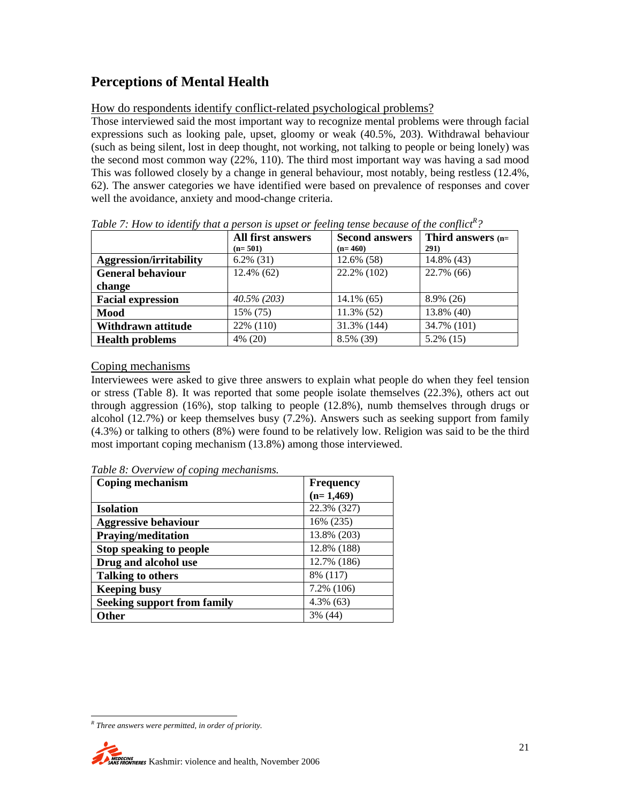# **Perceptions of Mental Health**

#### How do respondents identify conflict-related psychological problems?

Those interviewed said the most important way to recognize mental problems were through facial expressions such as looking pale, upset, gloomy or weak (40.5%, 203). Withdrawal behaviour (such as being silent, lost in deep thought, not working, not talking to people or being lonely) was the second most common way (22%, 110). The third most important way was having a sad mood This was followed closely by a change in general behaviour, most notably, being restless (12.4%, 62). The answer categories we have identified were based on prevalence of responses and cover well the avoidance, anxiety and mood-change criteria.

|                                | <b>All first answers</b> | <b>Second answers</b> | Third answers (n= |  |
|--------------------------------|--------------------------|-----------------------|-------------------|--|
|                                | $(n=501)$                | $(n=460)$             | 291)              |  |
| <b>Aggression/irritability</b> | $6.2\%$ (31)             | 12.6% (58)            | 14.8% (43)        |  |
| <b>General behaviour</b>       | 12.4% (62)               | 22.2% (102)           | 22.7% (66)        |  |
| change                         |                          |                       |                   |  |
| <b>Facial expression</b>       | $40.5\% (203)$           | $14.1\%$ (65)         | 8.9% (26)         |  |
| <b>Mood</b>                    | 15% (75)                 | 11.3% (52)            | 13.8% (40)        |  |
| Withdrawn attitude             | 22% (110)                | 31.3% (144)           | 34.7% (101)       |  |
| <b>Health problems</b>         | 4% (20)                  | 8.5% (39)             | $5.2\%$ (15)      |  |

Table 7: How to identify that a person is upset or feeling tense because of the conflict<sup>R</sup>?

#### Coping mechanisms

Interviewees were asked to give three answers to explain what people do when they feel tension or stress (Table 8). It was reported that some people isolate themselves (22.3%), others act out through aggression (16%), stop talking to people (12.8%), numb themselves through drugs or alcohol (12.7%) or keep themselves busy (7.2%). Answers such as seeking support from family (4.3%) or talking to others (8%) were found to be relatively low. Religion was said to be the third most important coping mechanism (13.8%) among those interviewed.

|  | Table 8: Overview of coping mechanisms. |
|--|-----------------------------------------|
|  |                                         |

| <b>Coping mechanism</b>            | <b>Frequency</b> |
|------------------------------------|------------------|
|                                    | $(n=1,469)$      |
| <b>Isolation</b>                   | 22.3% (327)      |
| <b>Aggressive behaviour</b>        | 16% (235)        |
| <b>Praying/meditation</b>          | 13.8% (203)      |
| Stop speaking to people            | 12.8% (188)      |
| Drug and alcohol use               | 12.7% (186)      |
| <b>Talking to others</b>           | 8% (117)         |
| <b>Keeping busy</b>                | 7.2% (106)       |
| <b>Seeking support from family</b> | $4.3\%$ (63)     |
| Other                              | 3% (44)          |

 *R Three answers were permitted, in order of priority.*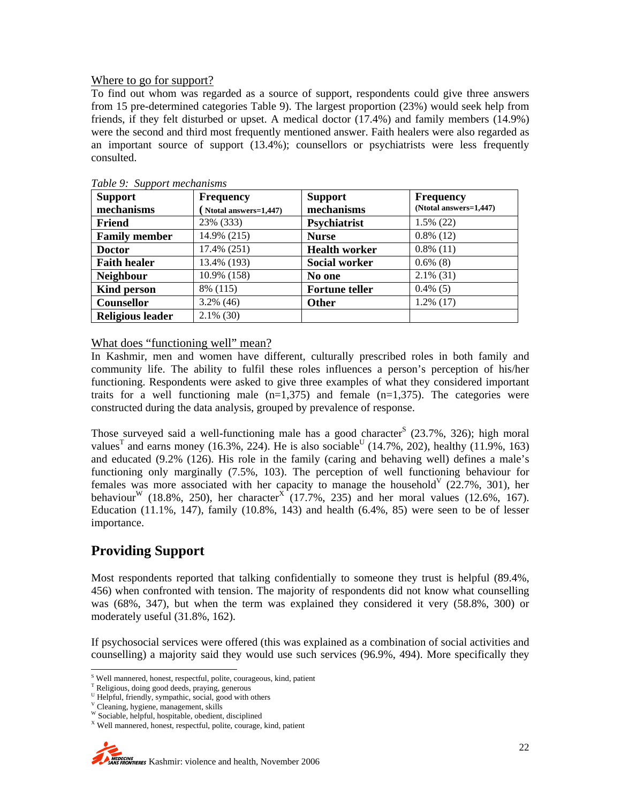#### Where to go for support?

To find out whom was regarded as a source of support, respondents could give three answers from 15 pre-determined categories Table 9). The largest proportion (23%) would seek help from friends, if they felt disturbed or upset. A medical doctor (17.4%) and family members (14.9%) were the second and third most frequently mentioned answer. Faith healers were also regarded as an important source of support (13.4%); counsellors or psychiatrists were less frequently consulted.

| <b>Support</b>          | <b>Frequency</b>      | <b>Support</b>        | <b>Frequency</b>       |
|-------------------------|-----------------------|-----------------------|------------------------|
| mechanisms              | Ntotal answers=1,447) | mechanisms            | (Ntotal answers=1,447) |
| Friend                  | 23% (333)             | Psychiatrist          | $1.5\%$ (22)           |
| <b>Family member</b>    | 14.9% (215)           | <b>Nurse</b>          | $0.8\%$ (12)           |
| <b>Doctor</b>           | 17.4% (251)           | <b>Health worker</b>  | $0.8\%$ (11)           |
| <b>Faith healer</b>     | 13.4% (193)           | <b>Social worker</b>  | $0.6\%$ (8)            |
| <b>Neighbour</b>        | 10.9% (158)           | No one                | $2.1\%$ (31)           |
| <b>Kind person</b>      | 8% (115)              | <b>Fortune teller</b> | $0.4\%$ (5)            |
| <b>Counsellor</b>       | $3.2\%$ (46)          | <b>Other</b>          | $1.2\%$ (17)           |
| <b>Religious leader</b> | $2.1\%$ (30)          |                       |                        |

*Table 9: Support mechanisms* 

#### What does "functioning well" mean?

In Kashmir, men and women have different, culturally prescribed roles in both family and community life. The ability to fulfil these roles influences a person's perception of his/her functioning. Respondents were asked to give three examples of what they considered important traits for a well functioning male  $(n=1,375)$  and female  $(n=1,375)$ . The categories were constructed during the data analysis, grouped by prevalence of response.

Those surveyed said a well-functioning male has a good character<sup>S</sup>  $(23.7\% , 326)$ ; high moral values<sup>T</sup> and earns money (16.3%, 224). He is also sociable<sup>U</sup> (14.7%, 202), healthy (11.9%, 163) and educated (9.2% (126). His role in the family (caring and behaving well) defines a male's functioning only marginally (7.5%, 103). The perception of well functioning behaviour for females was more associated with her capacity to manage the household  $(22.7\%, 301)$ , her behaviour<sup>W</sup> (18.8%, 250), her character<sup>X</sup> (17.7%, 235) and her moral values (12.6%, 167). Education  $(11.1\%, 147)$ , family  $(10.8\%, 143)$  and health  $(6.4\%, 85)$  were seen to be of lesser importance.

# **Providing Support**

Most respondents reported that talking confidentially to someone they trust is helpful (89.4%, 456) when confronted with tension. The majority of respondents did not know what counselling was (68%, 347), but when the term was explained they considered it very (58.8%, 300) or moderately useful (31.8%, 162).

If psychosocial services were offered (this was explained as a combination of social activities and counselling) a majority said they would use such services (96.9%, 494). More specifically they

s<br>Well mannered, honest, respectful, polite, courageous, kind, patient

<sup>&</sup>lt;sup>T</sup> Religious, doing good deeds, praying, generous

U Helpful, friendly, sympathic, social, good with others

V Cleaning, hygiene, management, skills

W Sociable, helpful, hospitable, obedient, disciplined

X Well mannered, honest, respectful, polite, courage, kind, patient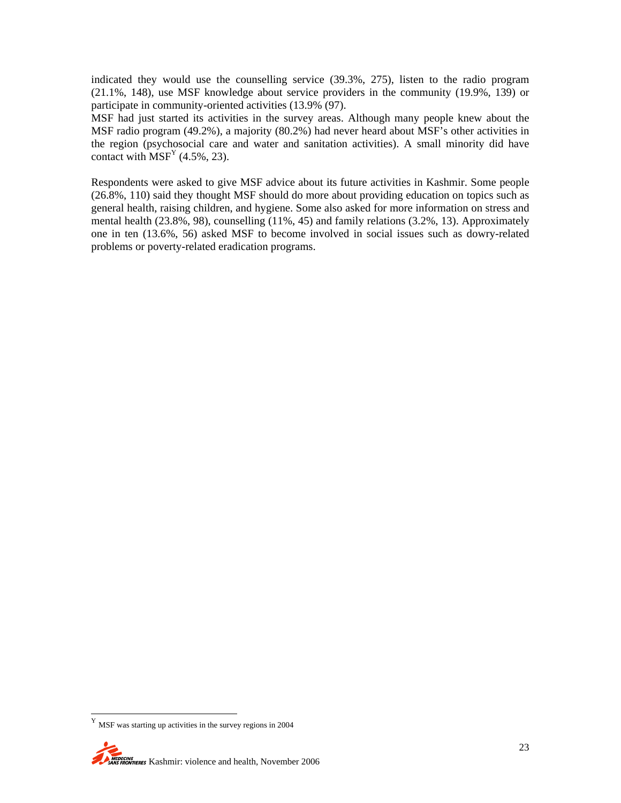indicated they would use the counselling service (39.3%, 275), listen to the radio program (21.1%, 148), use MSF knowledge about service providers in the community (19.9%, 139) or participate in community-oriented activities (13.9% (97).

MSF had just started its activities in the survey areas. Although many people knew about the MSF radio program (49.2%), a majority (80.2%) had never heard about MSF's other activities in the region (psychosocial care and water and sanitation activities). A small minority did have contact with  $MSF<sup>Y</sup>$  (4.5%, 23).

Respondents were asked to give MSF advice about its future activities in Kashmir. Some people (26.8%, 110) said they thought MSF should do more about providing education on topics such as general health, raising children, and hygiene. Some also asked for more information on stress and mental health (23.8%, 98), counselling (11%, 45) and family relations (3.2%, 13). Approximately one in ten (13.6%, 56) asked MSF to become involved in social issues such as dowry-related problems or poverty-related eradication programs.

 $^{\mathrm{Y}}$  MSF was starting up activities in the survey regions in 2004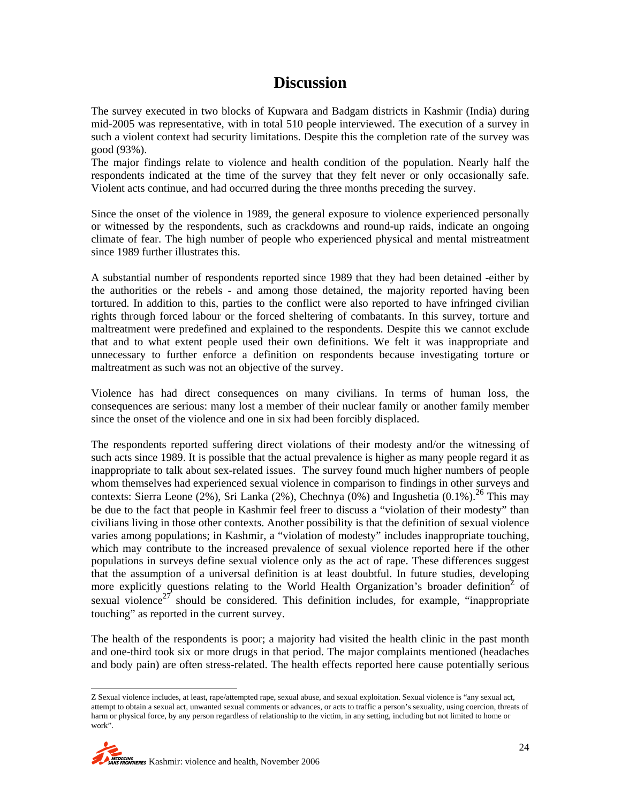# **Discussion**

The survey executed in two blocks of Kupwara and Badgam districts in Kashmir (India) during mid-2005 was representative, with in total 510 people interviewed. The execution of a survey in such a violent context had security limitations. Despite this the completion rate of the survey was good (93%).

The major findings relate to violence and health condition of the population. Nearly half the respondents indicated at the time of the survey that they felt never or only occasionally safe. Violent acts continue, and had occurred during the three months preceding the survey.

Since the onset of the violence in 1989, the general exposure to violence experienced personally or witnessed by the respondents, such as crackdowns and round-up raids, indicate an ongoing climate of fear. The high number of people who experienced physical and mental mistreatment since 1989 further illustrates this.

A substantial number of respondents reported since 1989 that they had been detained -either by the authorities or the rebels - and among those detained, the majority reported having been tortured. In addition to this, parties to the conflict were also reported to have infringed civilian rights through forced labour or the forced sheltering of combatants. In this survey, torture and maltreatment were predefined and explained to the respondents. Despite this we cannot exclude that and to what extent people used their own definitions. We felt it was inappropriate and unnecessary to further enforce a definition on respondents because investigating torture or maltreatment as such was not an objective of the survey.

Violence has had direct consequences on many civilians. In terms of human loss, the consequences are serious: many lost a member of their nuclear family or another family member since the onset of the violence and one in six had been forcibly displaced.

The respondents reported suffering direct violations of their modesty and/or the witnessing of such acts since 1989. It is possible that the actual prevalence is higher as many people regard it as inappropriate to talk about sex-related issues. The survey found much higher numbers of people whom themselves had experienced sexual violence in comparison to findings in other surveys and contexts: Sierra Leone (2%), Sri Lanka (2%), Chechnya (0%) and Ingushetia (0.1%).<sup>26</sup> This may be due to the fact that people in Kashmir feel freer to discuss a "violation of their modesty" than civilians living in those other contexts. Another possibility is that the definition of sexual violence varies among populations; in Kashmir, a "violation of modesty" includes inappropriate touching, which may contribute to the increased prevalence of sexual violence reported here if the other populations in surveys define sexual violence only as the act of rape. These differences suggest that the assumption of a universal definition is at least doubtful. In future studies, developing more explicitly questions relating to the World Health Organization's broader definition<sup>2</sup> of sexual violence<sup>27</sup> should be considered. This definition includes, for example, "inappropriate" touching" as reported in the current survey.

The health of the respondents is poor; a majority had visited the health clinic in the past month and one-third took six or more drugs in that period. The major complaints mentioned (headaches and body pain) are often stress-related. The health effects reported here cause potentially serious

Z Sexual violence includes, at least, rape/attempted rape, sexual abuse, and sexual exploitation. Sexual violence is "any sexual act, attempt to obtain a sexual act, unwanted sexual comments or advances, or acts to traffic a person's sexuality, using coercion, threats of harm or physical force, by any person regardless of relationship to the victim, in any setting, including but not limited to home or work".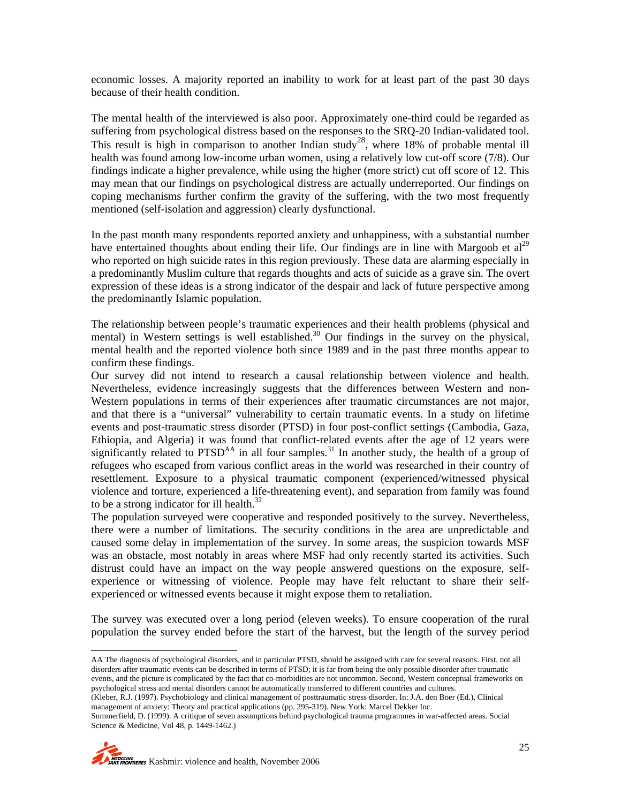economic losses. A majority reported an inability to work for at least part of the past 30 days because of their health condition.

The mental health of the interviewed is also poor. Approximately one-third could be regarded as suffering from psychological distress based on the responses to the SRQ-20 Indian-validated tool. This result is high in comparison to another Indian study<sup>28</sup>, where 18% of probable mental ill health was found among low-income urban women, using a relatively low cut-off score (7/8). Our findings indicate a higher prevalence, while using the higher (more strict) cut off score of 12. This may mean that our findings on psychological distress are actually underreported. Our findings on coping mechanisms further confirm the gravity of the suffering, with the two most frequently mentioned (self-isolation and aggression) clearly dysfunctional.

In the past month many respondents reported anxiety and unhappiness, with a substantial number have entertained thoughts about ending their life. Our findings are in line with Margoob et al<sup>29</sup> who reported on high suicide rates in this region previously. These data are alarming especially in a predominantly Muslim culture that regards thoughts and acts of suicide as a grave sin. The overt expression of these ideas is a strong indicator of the despair and lack of future perspective among the predominantly Islamic population.

The relationship between people's traumatic experiences and their health problems (physical and mental) in Western settings is well established.<sup>30</sup> Our findings in the survey on the physical, mental health and the reported violence both since 1989 and in the past three months appear to confirm these findings.

Our survey did not intend to research a causal relationship between violence and health. Nevertheless, evidence increasingly suggests that the differences between Western and non-Western populations in terms of their experiences after traumatic circumstances are not major, and that there is a "universal" vulnerability to certain traumatic events. In a study on lifetime events and post-traumatic stress disorder (PTSD) in four post-conflict settings (Cambodia, Gaza, Ethiopia, and Algeria) it was found that conflict-related events after the age of 12 years were significantly related to  $PTSD<sup>AA</sup>$  in all four samples.<sup>31</sup> In another study, the health of a group of refugees who escaped from various conflict areas in the world was researched in their country of resettlement. Exposure to a physical traumatic component (experienced/witnessed physical violence and torture, experienced a life-threatening event), and separation from family was found to be a strong indicator for ill health. $32$ 

The population surveyed were cooperative and responded positively to the survey. Nevertheless, there were a number of limitations. The security conditions in the area are unpredictable and caused some delay in implementation of the survey. In some areas, the suspicion towards MSF was an obstacle, most notably in areas where MSF had only recently started its activities. Such distrust could have an impact on the way people answered questions on the exposure, selfexperience or witnessing of violence. People may have felt reluctant to share their selfexperienced or witnessed events because it might expose them to retaliation.

The survey was executed over a long period (eleven weeks). To ensure cooperation of the rural population the survey ended before the start of the harvest, but the length of the survey period

AA The diagnosis of psychological disorders, and in particular PTSD, should be assigned with care for several reasons. First, not all disorders after traumatic events can be described in terms of PTSD; it is far from being the only possible disorder after traumatic events, and the picture is complicated by the fact that co-morbidities are not uncommon. Second, Western conceptual frameworks on psychological stress and mental disorders cannot be automatically transferred to different countries and cultures.

(Kleber, R.J. (1997). Psychobiology and clinical management of posttraumatic stress disorder. In: J.A. den Boer (Ed.), Clinical management of anxiety: Theory and practical applications (pp. 295-319). New York: Marcel Dekker Inc.

Summerfield, D. (1999). A critique of seven assumptions behind psychological trauma programmes in war-affected areas. Social Science & Medicine, Vol 48, p. 1449-1462.)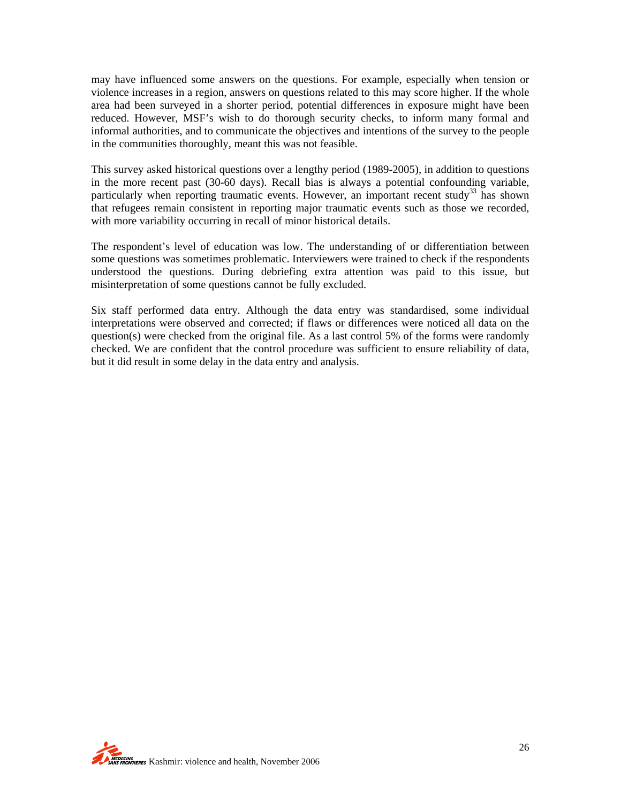may have influenced some answers on the questions. For example, especially when tension or violence increases in a region, answers on questions related to this may score higher. If the whole area had been surveyed in a shorter period, potential differences in exposure might have been reduced. However, MSF's wish to do thorough security checks, to inform many formal and informal authorities, and to communicate the objectives and intentions of the survey to the people in the communities thoroughly, meant this was not feasible.

This survey asked historical questions over a lengthy period (1989-2005), in addition to questions in the more recent past (30-60 days). Recall bias is always a potential confounding variable, particularly when reporting traumatic events. However, an important recent study<sup>33</sup> has shown that refugees remain consistent in reporting major traumatic events such as those we recorded, with more variability occurring in recall of minor historical details.

The respondent's level of education was low. The understanding of or differentiation between some questions was sometimes problematic. Interviewers were trained to check if the respondents understood the questions. During debriefing extra attention was paid to this issue, but misinterpretation of some questions cannot be fully excluded.

Six staff performed data entry. Although the data entry was standardised, some individual interpretations were observed and corrected; if flaws or differences were noticed all data on the question(s) were checked from the original file. As a last control 5% of the forms were randomly checked. We are confident that the control procedure was sufficient to ensure reliability of data, but it did result in some delay in the data entry and analysis.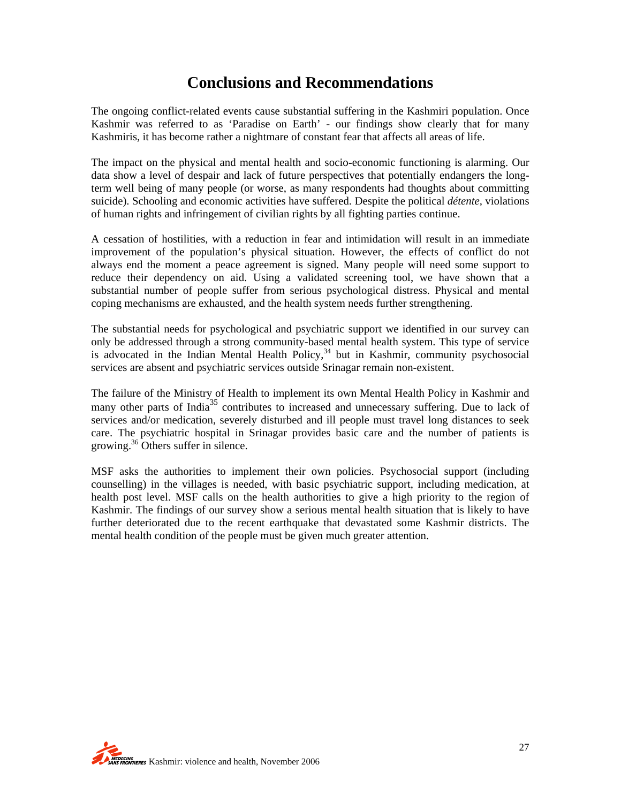# **Conclusions and Recommendations**

The ongoing conflict-related events cause substantial suffering in the Kashmiri population. Once Kashmir was referred to as 'Paradise on Earth' - our findings show clearly that for many Kashmiris, it has become rather a nightmare of constant fear that affects all areas of life.

The impact on the physical and mental health and socio-economic functioning is alarming. Our data show a level of despair and lack of future perspectives that potentially endangers the longterm well being of many people (or worse, as many respondents had thoughts about committing suicide). Schooling and economic activities have suffered. Despite the political *détente,* violations of human rights and infringement of civilian rights by all fighting parties continue.

A cessation of hostilities, with a reduction in fear and intimidation will result in an immediate improvement of the population's physical situation. However, the effects of conflict do not always end the moment a peace agreement is signed. Many people will need some support to reduce their dependency on aid. Using a validated screening tool, we have shown that a substantial number of people suffer from serious psychological distress. Physical and mental coping mechanisms are exhausted, and the health system needs further strengthening.

The substantial needs for psychological and psychiatric support we identified in our survey can only be addressed through a strong community-based mental health system. This type of service  $\frac{1}{2}$  is advocated in the Indian Mental Health Policy, $\frac{34}{10}$  but in Kashmir, community psychosocial services are absent and psychiatric services outside Srinagar remain non-existent.

The failure of the Ministry of Health to implement its own Mental Health Policy in Kashmir and many other parts of India<sup>35</sup> contributes to increased and unnecessary suffering. Due to lack of services and/or medication, severely disturbed and ill people must travel long distances to seek care. The psychiatric hospital in Srinagar provides basic care and the number of patients is growing.36 Others suffer in silence.

MSF asks the authorities to implement their own policies. Psychosocial support (including counselling) in the villages is needed, with basic psychiatric support, including medication, at health post level. MSF calls on the health authorities to give a high priority to the region of Kashmir. The findings of our survey show a serious mental health situation that is likely to have further deteriorated due to the recent earthquake that devastated some Kashmir districts. The mental health condition of the people must be given much greater attention.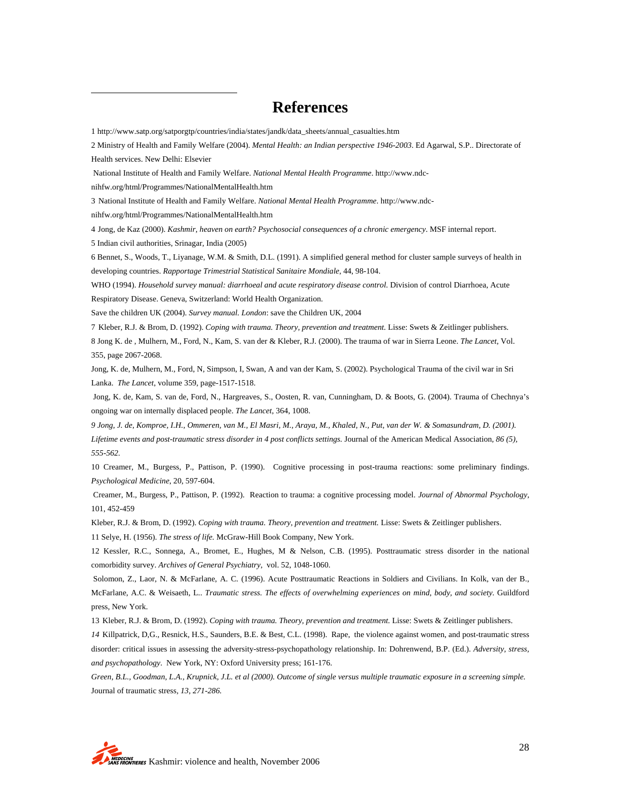## **References**

1 http://www.satp.org/satporgtp/countries/india/states/jandk/data\_sheets/annual\_casualties.htm

2 Ministry of Health and Family Welfare (2004). *Mental Health: an Indian perspective 1946-2003*. Ed Agarwal, S.P.. Directorate of Health services. New Delhi: Elsevier

National Institute of Health and Family Welfare. *National Mental Health Programme*. http://www.ndc-

nihfw.org/html/Programmes/NationalMentalHealth.htm

3 National Institute of Health and Family Welfare. *National Mental Health Programme*. http://www.ndc-

nihfw.org/html/Programmes/NationalMentalHealth.htm

4 Jong, de Kaz (2000). *Kashmir, heaven on earth? Psychosocial consequences of a chronic emergency*. MSF internal report.

5 Indian civil authorities, Srinagar, India (2005)

 $\overline{a}$ 

6 Bennet, S., Woods, T., Liyanage, W.M. & Smith, D.L. (1991). A simplified general method for cluster sample surveys of health in developing countries. *Rapportage Trimestrial Statistical Sanitaire Mondiale*, 44, 98-104.

WHO (1994). *Household survey manual: diarrhoeal and acute respiratory disease control.* Division of control Diarrhoea, Acute Respiratory Disease. Geneva, Switzerland: World Health Organization.

Save the children UK (2004). *Survey manual. London*: save the Children UK, 2004

7 Kleber, R.J. & Brom, D. (1992). *Coping with trauma. Theory, prevention and treatment.* Lisse: Swets & Zeitlinger publishers. 8 Jong K. de , Mulhern, M., Ford, N., Kam, S. van der & Kleber, R.J. (2000). The trauma of war in Sierra Leone. *The Lancet*, Vol. 355, page 2067-2068.

Jong, K. de, Mulhern, M., Ford, N, Simpson, I, Swan, A and van der Kam, S. (2002). Psychological Trauma of the civil war in Sri Lanka. *The Lancet*, volume 359, page-1517-1518.

 Jong, K. de, Kam, S. van de, Ford, N., Hargreaves, S., Oosten, R. van, Cunningham, D. & Boots, G. (2004). Trauma of Chechnya's ongoing war on internally displaced people. *The Lancet*, 364, 1008.

*9 Jong, J. de, Komproe, I.H., Ommeren, van M., El Masri, M., Araya, M., Khaled, N., Put, van der W. & Somasundram, D. (2001).*  Lifetime events and post-traumatic stress disorder in 4 post conflicts settings. Journal of the American Medical Association, 86 (5), *555-562.* 

10 Creamer, M., Burgess, P., Pattison, P. (1990). Cognitive processing in post-trauma reactions: some preliminary findings. *Psychological Medicine*, 20, 597-604.

 Creamer, M., Burgess, P., Pattison, P. (1992). Reaction to trauma: a cognitive processing model. *Journal of Abnormal Psychology*, 101, 452-459

Kleber, R.J. & Brom, D. (1992). *Coping with trauma. Theory, prevention and treatment.* Lisse: Swets & Zeitlinger publishers.

11 Selye, H. (1956). *The stress of life.* McGraw-Hill Book Company, New York.

12 Kessler, R.C., Sonnega, A., Bromet, E., Hughes, M & Nelson, C.B. (1995). Posttraumatic stress disorder in the national comorbidity survey. *Archives of General Psychiatry*, vol. 52, 1048-1060.

 Solomon, Z., Laor, N. & McFarlane, A. C. (1996). Acute Posttraumatic Reactions in Soldiers and Civilians. In Kolk, van der B., McFarlane, A.C. & Weisaeth, L.. *Traumatic stress. The effects of overwhelming experiences on mind, body, and society.* Guildford press, New York.

13 Kleber, R.J. & Brom, D. (1992). *Coping with trauma. Theory, prevention and treatment.* Lisse: Swets & Zeitlinger publishers.

*14* Killpatrick, D,G., Resnick, H.S., Saunders, B.E. & Best, C.L. (1998). Rape, the violence against women, and post-traumatic stress disorder: critical issues in assessing the adversity-stress-psychopathology relationship. In: Dohrenwend, B.P. (Ed.). *Adversity, stress, and psychopathology*. New York, NY: Oxford University press; 161-176.

*Green, B.L., Goodman, L.A., Krupnick, J.L. et al (2000). Outcome of single versus multiple traumatic exposure in a screening simple.*  Journal of traumatic stress*, 13, 271-286.*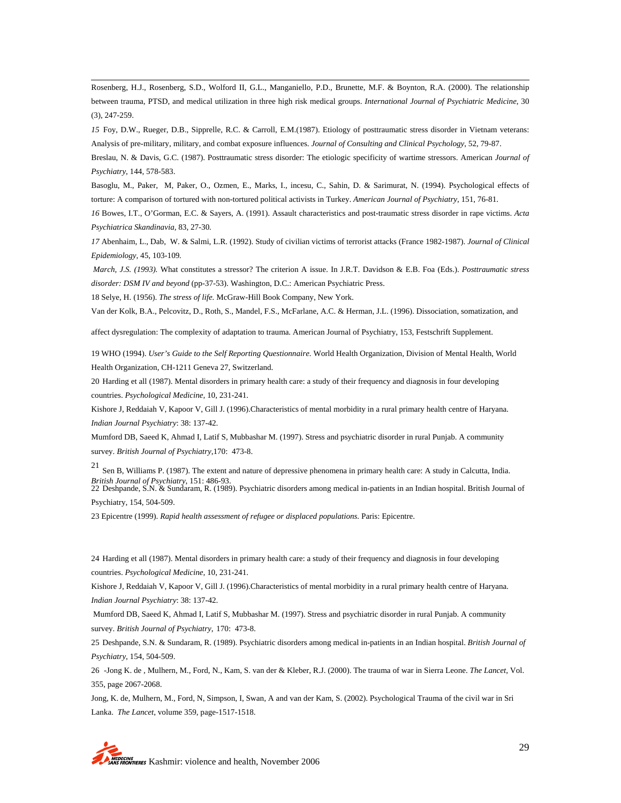Rosenberg, H.J., Rosenberg, S.D., Wolford II, G.L., Manganiello, P.D., Brunette, M.F. & Boynton, R.A. (2000). The relationship between trauma, PTSD, and medical utilization in three high risk medical groups. *International Journal of Psychiatric Medicine*, 30 (3), 247-259.

*15* Foy, D.W., Rueger, D.B., Sipprelle, R.C. & Carroll, E.M.(1987). Etiology of posttraumatic stress disorder in Vietnam veterans: Analysis of pre-military, military, and combat exposure influences. *Journal of Consulting and Clinical Psychology*, 52, 79-87.

Breslau, N. & Davis, G.C. (1987). Posttraumatic stress disorder: The etiologic specificity of wartime stressors. American *Journal of Psychiatry*, 144, 578-583.

Basoglu, M., Paker, M, Paker, O., Ozmen, E., Marks, I., incesu, C., Sahin, D. & Sarimurat, N. (1994). Psychological effects of torture: A comparison of tortured with non-tortured political activists in Turkey. *American Journal of Psychiatry*, 151, 76-81.

*16* Bowes, I.T., O'Gorman, E.C. & Sayers, A. (1991). Assault characteristics and post-traumatic stress disorder in rape victims. *Acta Psychiatrica Skandinavia,* 83, 27-30*.*

*17* Abenhaim, L., Dab, W. & Salmi, L.R. (1992). Study of civilian victims of terrorist attacks (France 1982-1987). *Journal of Clinical Epidemiology,* 45, 103-109*.*

 *March, J.S. (1993).* What constitutes a stressor? The criterion A issue. In J.R.T. Davidson & E.B. Foa (Eds.). *Posttraumatic stress disorder: DSM IV and beyond* (pp-37-53). Washington, D.C.: American Psychiatric Press.

18 Selye, H. (1956). *The stress of life.* McGraw-Hill Book Company, New York.

Van der Kolk, B.A., Pelcovitz, D., Roth, S., Mandel, F.S., McFarlane, A.C. & Herman, J.L. (1996). Dissociation, somatization, and

affect dysregulation: The complexity of adaptation to trauma. American Journal of Psychiatry, 153, Festschrift Supplement.

19 WHO (1994). *User's Guide to the Self Reporting Questionnaire.* World Health Organization, Division of Mental Health, World Health Organization, CH-1211 Geneva 27, Switzerland.

20 Harding et all (1987). Mental disorders in primary health care: a study of their frequency and diagnosis in four developing countries. *Psychological Medicine,* 10, 231-241.

Kishore J, Reddaiah V, Kapoor V, Gill J. (1996).Characteristics of mental morbidity in a rural primary health centre of Haryana. *Indian Journal Psychiatry*: 38: 137-42.

Mumford DB, Saeed K, Ahmad I, Latif S, Mubbashar M. (1997). Stress and psychiatric disorder in rural Punjab. A community survey. *British Journal of Psychiatry*,170: 473-8.

21 Sen B, Williams P. (1987). The extent and nature of depressive phenomena in primary health care: A study in Calcutta, India. *British Journal of Psychiatry*, 151: 486-93.

22 Deshpande, S.N. & Sundaram, R. (1989). Psychiatric disorders among medical in-patients in an Indian hospital. British Journal of Psychiatry, 154, 504-509.

23 Epicentre (1999). *Rapid health assessment of refugee or displaced populations.* Paris: Epicentre.

24 Harding et all (1987). Mental disorders in primary health care: a study of their frequency and diagnosis in four developing countries. *Psychological Medicine,* 10, 231-241.

Kishore J, Reddaiah V, Kapoor V, Gill J. (1996).Characteristics of mental morbidity in a rural primary health centre of Haryana. *Indian Journal Psychiatry*: 38: 137-42.

 Mumford DB, Saeed K, Ahmad I, Latif S, Mubbashar M. (1997). Stress and psychiatric disorder in rural Punjab. A community survey. *British Journal of Psychiatry*, 170: 473-8.

25 Deshpande, S.N. & Sundaram, R. (1989). Psychiatric disorders among medical in-patients in an Indian hospital. *British Journal of Psychiatry,* 154, 504-509.

26 -Jong K. de , Mulhern, M., Ford, N., Kam, S. van der & Kleber, R.J. (2000). The trauma of war in Sierra Leone. *The Lancet*, Vol. 355, page 2067-2068.

Jong, K. de, Mulhern, M., Ford, N, Simpson, I, Swan, A and van der Kam, S. (2002). Psychological Trauma of the civil war in Sri Lanka. *The Lancet*, volume 359, page-1517-1518.